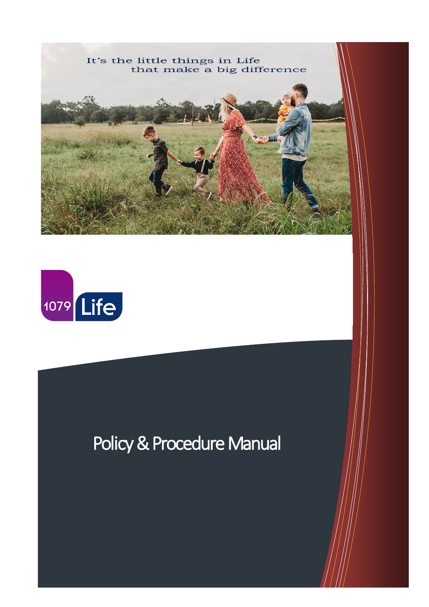



# Policy & Procedure Manual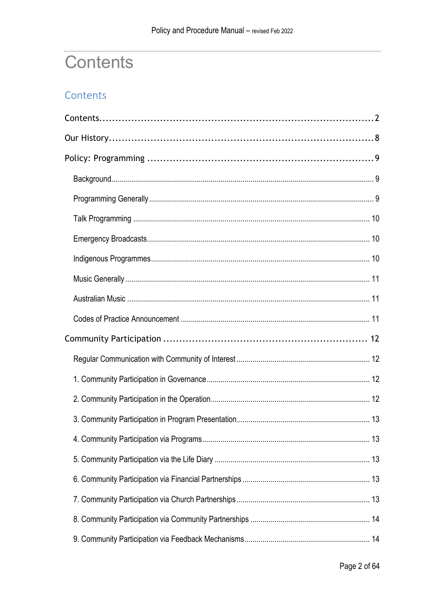# <span id="page-1-0"></span>**Contents**

## Contents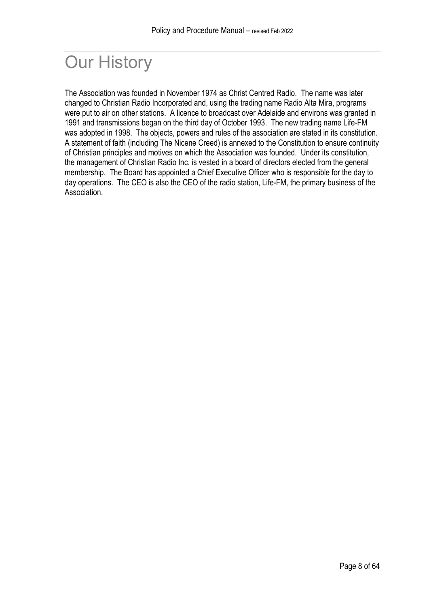# <span id="page-7-0"></span>Our History

The Association was founded in November 1974 as Christ Centred Radio. The name was later changed to Christian Radio Incorporated and, using the trading name Radio Alta Mira, programs were put to air on other stations. A licence to broadcast over Adelaide and environs was granted in 1991 and transmissions began on the third day of October 1993. The new trading name Life-FM was adopted in 1998. The objects, powers and rules of the association are stated in its constitution. A statement of faith (including The Nicene Creed) is annexed to the Constitution to ensure continuity of Christian principles and motives on which the Association was founded. Under its constitution, the management of Christian Radio Inc. is vested in a board of directors elected from the general membership. The Board has appointed a Chief Executive Officer who is responsible for the day to day operations. The CEO is also the CEO of the radio station, Life-FM, the primary business of the Association.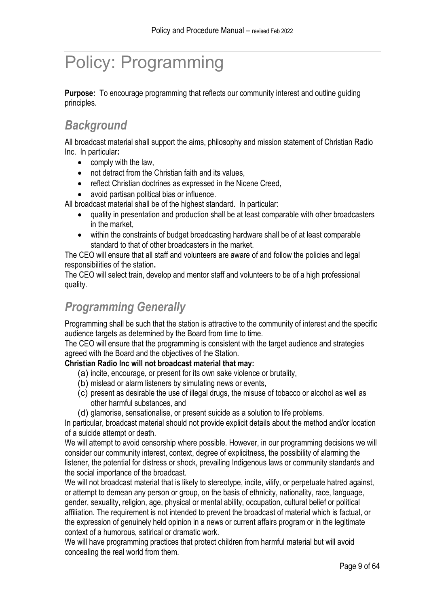# <span id="page-8-0"></span>Policy: Programming

**Purpose:** To encourage programming that reflects our community interest and outline guiding principles.

## <span id="page-8-1"></span>*Background*

All broadcast material shall support the aims, philosophy and mission statement of Christian Radio Inc. In particular**:** 

- comply with the law,
- not detract from the Christian faith and its values,
- reflect Christian doctrines as expressed in the Nicene Creed,
- avoid partisan political bias or influence.

All broadcast material shall be of the highest standard. In particular:

- quality in presentation and production shall be at least comparable with other broadcasters in the market,
- within the constraints of budget broadcasting hardware shall be of at least comparable standard to that of other broadcasters in the market.

The CEO will ensure that all staff and volunteers are aware of and follow the policies and legal responsibilities of the station**.** 

The CEO will select train, develop and mentor staff and volunteers to be of a high professional quality.

# <span id="page-8-2"></span>*Programming Generally*

Programming shall be such that the station is attractive to the community of interest and the specific audience targets as determined by the Board from time to time.

The CEO will ensure that the programming is consistent with the target audience and strategies agreed with the Board and the objectives of the Station.

#### **Christian Radio Inc will not broadcast material that may:**

- (a) incite, encourage, or present for its own sake violence or brutality,
- (b) mislead or alarm listeners by simulating news or events,
- (c) present as desirable the use of illegal drugs, the misuse of tobacco or alcohol as well as other harmful substances, and
- (d) glamorise, sensationalise, or present suicide as a solution to life problems.

In particular, broadcast material should not provide explicit details about the method and/or location of a suicide attempt or death.

We will attempt to avoid censorship where possible. However, in our programming decisions we will consider our community interest, context, degree of explicitness, the possibility of alarming the listener, the potential for distress or shock, prevailing Indigenous laws or community standards and the social importance of the broadcast.

We will not broadcast material that is likely to stereotype, incite, vilify, or perpetuate hatred against, or attempt to demean any person or group, on the basis of ethnicity, nationality, race, language, gender, sexuality, religion, age, physical or mental ability, occupation, cultural belief or political affiliation. The requirement is not intended to prevent the broadcast of material which is factual, or the expression of genuinely held opinion in a news or current affairs program or in the legitimate context of a humorous, satirical or dramatic work.

We will have programming practices that protect children from harmful material but will avoid concealing the real world from them.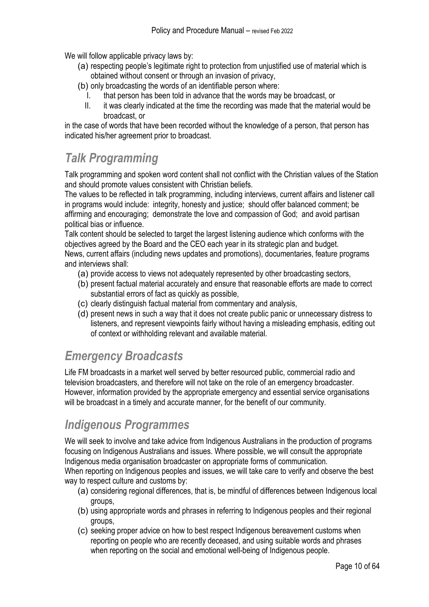We will follow applicable privacy laws by:

- (a) respecting people's legitimate right to protection from unjustified use of material which is obtained without consent or through an invasion of privacy,
- (b) only broadcasting the words of an identifiable person where:
	- I. that person has been told in advance that the words may be broadcast, or
	- II. it was clearly indicated at the time the recording was made that the material would be broadcast, or

in the case of words that have been recorded without the knowledge of a person, that person has indicated his/her agreement prior to broadcast.

## <span id="page-9-0"></span>*Talk Programming*

Talk programming and spoken word content shall not conflict with the Christian values of the Station and should promote values consistent with Christian beliefs.

The values to be reflected in talk programming, including interviews, current affairs and listener call in programs would include: integrity, honesty and justice; should offer balanced comment; be affirming and encouraging; demonstrate the love and compassion of God; and avoid partisan political bias or influence.

Talk content should be selected to target the largest listening audience which conforms with the objectives agreed by the Board and the CEO each year in its strategic plan and budget. News, current affairs (including news updates and promotions), documentaries, feature programs

and interviews shall:

- (a) provide access to views not adequately represented by other broadcasting sectors,
- (b) present factual material accurately and ensure that reasonable efforts are made to correct substantial errors of fact as quickly as possible,
- (c) clearly distinguish factual material from commentary and analysis,
- (d) present news in such a way that it does not create public panic or unnecessary distress to listeners, and represent viewpoints fairly without having a misleading emphasis, editing out of context or withholding relevant and available material.

## <span id="page-9-1"></span>*Emergency Broadcasts*

Life FM broadcasts in a market well served by better resourced public, commercial radio and television broadcasters, and therefore will not take on the role of an emergency broadcaster. However, information provided by the appropriate emergency and essential service organisations will be broadcast in a timely and accurate manner, for the benefit of our community.

## <span id="page-9-2"></span>*Indigenous Programmes*

We will seek to involve and take advice from Indigenous Australians in the production of programs focusing on Indigenous Australians and issues. Where possible, we will consult the appropriate Indigenous media organisation broadcaster on appropriate forms of communication.

When reporting on Indigenous peoples and issues, we will take care to verify and observe the best way to respect culture and customs by:

- (a) considering regional differences, that is, be mindful of differences between Indigenous local groups,
- (b) using appropriate words and phrases in referring to Indigenous peoples and their regional groups,
- (c) seeking proper advice on how to best respect Indigenous bereavement customs when reporting on people who are recently deceased, and using suitable words and phrases when reporting on the social and emotional well-being of Indigenous people.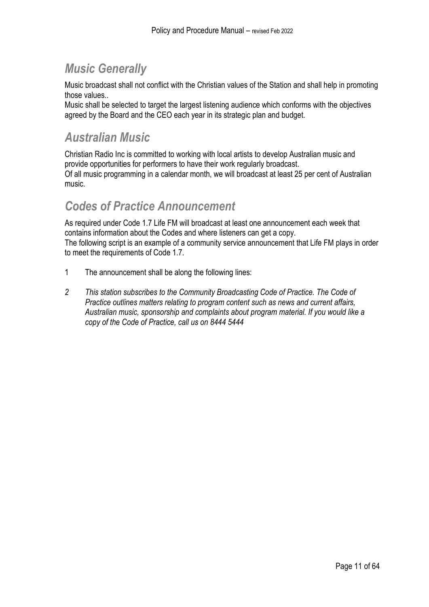# <span id="page-10-0"></span>*Music Generally*

Music broadcast shall not conflict with the Christian values of the Station and shall help in promoting those values..

Music shall be selected to target the largest listening audience which conforms with the objectives agreed by the Board and the CEO each year in its strategic plan and budget.

### <span id="page-10-1"></span>*Australian Music*

Christian Radio Inc is committed to working with local artists to develop Australian music and provide opportunities for performers to have their work regularly broadcast. Of all music programming in a calendar month, we will broadcast at least 25 per cent of Australian music.

## <span id="page-10-2"></span>*Codes of Practice Announcement*

As required under Code 1.7 Life FM will broadcast at least one announcement each week that contains information about the Codes and where listeners can get a copy. The following script is an example of a community service announcement that Life FM plays in order to meet the requirements of Code 1.7.

- 1 The announcement shall be along the following lines:
- *2 This station subscribes to the Community Broadcasting Code of Practice. The Code of Practice outlines matters relating to program content such as news and current affairs, Australian music, sponsorship and complaints about program material. If you would like a copy of the Code of Practice, call us on 8444 5444*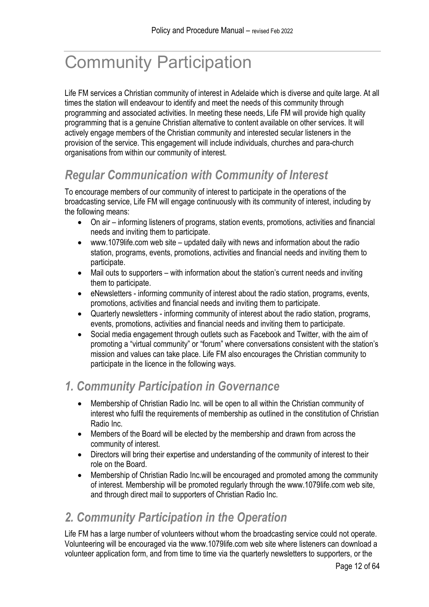# <span id="page-11-0"></span>Community Participation

Life FM services a Christian community of interest in Adelaide which is diverse and quite large. At all times the station will endeavour to identify and meet the needs of this community through programming and associated activities. In meeting these needs, Life FM will provide high quality programming that is a genuine Christian alternative to content available on other services. It will actively engage members of the Christian community and interested secular listeners in the provision of the service. This engagement will include individuals, churches and para-church organisations from within our community of interest.

# <span id="page-11-1"></span>*Regular Communication with Community of Interest*

To encourage members of our community of interest to participate in the operations of the broadcasting service, Life FM will engage continuously with its community of interest, including by the following means:

- On air informing listeners of programs, station events, promotions, activities and financial needs and inviting them to participate.
- www.1079life.com web site updated daily with news and information about the radio station, programs, events, promotions, activities and financial needs and inviting them to participate.
- Mail outs to supporters with information about the station's current needs and inviting them to participate.
- eNewsletters informing community of interest about the radio station, programs, events, promotions, activities and financial needs and inviting them to participate.
- Quarterly newsletters informing community of interest about the radio station, programs, events, promotions, activities and financial needs and inviting them to participate.
- Social media engagement through outlets such as Facebook and Twitter, with the aim of promoting a "virtual community" or "forum" where conversations consistent with the station's mission and values can take place. Life FM also encourages the Christian community to participate in the licence in the following ways.

# <span id="page-11-2"></span>*1. Community Participation in Governance*

- Membership of Christian Radio Inc. will be open to all within the Christian community of interest who fulfil the requirements of membership as outlined in the constitution of Christian Radio Inc.
- Members of the Board will be elected by the membership and drawn from across the community of interest.
- Directors will bring their expertise and understanding of the community of interest to their role on the Board.
- Membership of Christian Radio Inc. will be encouraged and promoted among the community of interest. Membership will be promoted regularly through the www.1079life.com web site, and through direct mail to supporters of Christian Radio Inc.

## <span id="page-11-3"></span>*2. Community Participation in the Operation*

Life FM has a large number of volunteers without whom the broadcasting service could not operate. Volunteering will be encouraged via the www.1079life.com web site where listeners can download a volunteer application form, and from time to time via the quarterly newsletters to supporters, or the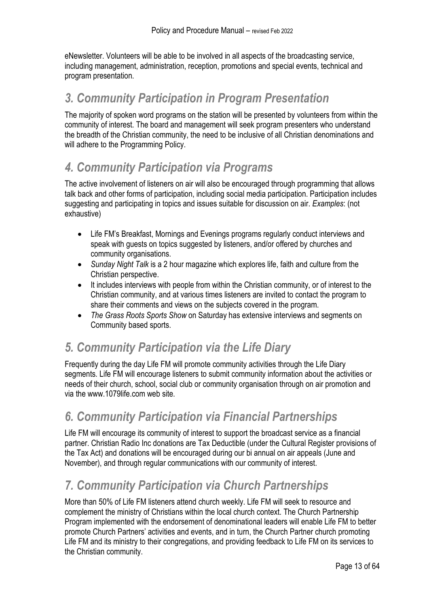eNewsletter. Volunteers will be able to be involved in all aspects of the broadcasting service, including management, administration, reception, promotions and special events, technical and program presentation.

### <span id="page-12-0"></span>*3. Community Participation in Program Presentation*

The majority of spoken word programs on the station will be presented by volunteers from within the community of interest. The board and management will seek program presenters who understand the breadth of the Christian community, the need to be inclusive of all Christian denominations and will adhere to the Programming Policy.

# <span id="page-12-1"></span>*4. Community Participation via Programs*

The active involvement of listeners on air will also be encouraged through programming that allows talk back and other forms of participation, including social media participation. Participation includes suggesting and participating in topics and issues suitable for discussion on air. *Examples*: (not exhaustive)

- Life FM's Breakfast, Mornings and Evenings programs regularly conduct interviews and speak with guests on topics suggested by listeners, and/or offered by churches and community organisations.
- *Sunday Night Talk* is a 2 hour magazine which explores life, faith and culture from the Christian perspective.
- It includes interviews with people from within the Christian community, or of interest to the Christian community, and at various times listeners are invited to contact the program to share their comments and views on the subjects covered in the program.
- *The Grass Roots Sports Show* on Saturday has extensive interviews and segments on Community based sports.

## <span id="page-12-2"></span>*5. Community Participation via the Life Diary*

Frequently during the day Life FM will promote community activities through the Life Diary segments. Life FM will encourage listeners to submit community information about the activities or needs of their church, school, social club or community organisation through on air promotion and via the www.1079life.com web site.

## <span id="page-12-3"></span>*6. Community Participation via Financial Partnerships*

Life FM will encourage its community of interest to support the broadcast service as a financial partner. Christian Radio Inc donations are Tax Deductible (under the Cultural Register provisions of the Tax Act) and donations will be encouraged during our bi annual on air appeals (June and November), and through regular communications with our community of interest.

# <span id="page-12-4"></span>*7. Community Participation via Church Partnerships*

More than 50% of Life FM listeners attend church weekly. Life FM will seek to resource and complement the ministry of Christians within the local church context. The Church Partnership Program implemented with the endorsement of denominational leaders will enable Life FM to better promote Church Partners' activities and events, and in turn, the Church Partner church promoting Life FM and its ministry to their congregations, and providing feedback to Life FM on its services to the Christian community.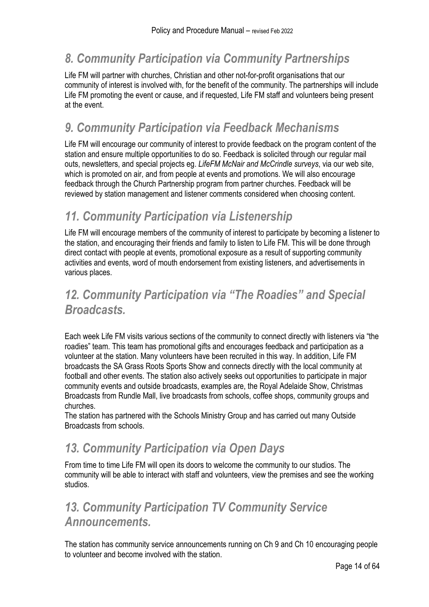# <span id="page-13-0"></span>*8. Community Participation via Community Partnerships*

Life FM will partner with churches, Christian and other not-for-profit organisations that our community of interest is involved with, for the benefit of the community. The partnerships will include Life FM promoting the event or cause, and if requested, Life FM staff and volunteers being present at the event.

## <span id="page-13-1"></span>*9. Community Participation via Feedback Mechanisms*

Life FM will encourage our community of interest to provide feedback on the program content of the station and ensure multiple opportunities to do so. Feedback is solicited through our regular mail outs, newsletters, and special projects eg. *LifeFM McNair and McCrindle surveys*, via our web site, which is promoted on air, and from people at events and promotions. We will also encourage feedback through the Church Partnership program from partner churches. Feedback will be reviewed by station management and listener comments considered when choosing content.

# <span id="page-13-2"></span>*11. Community Participation via Listenership*

Life FM will encourage members of the community of interest to participate by becoming a listener to the station, and encouraging their friends and family to listen to Life FM. This will be done through direct contact with people at events, promotional exposure as a result of supporting community activities and events, word of mouth endorsement from existing listeners, and advertisements in various places.

# <span id="page-13-3"></span>*12. Community Participation via "The Roadies" and Special Broadcasts.*

Each week Life FM visits various sections of the community to connect directly with listeners via "the roadies" team. This team has promotional gifts and encourages feedback and participation as a volunteer at the station. Many volunteers have been recruited in this way. In addition, Life FM broadcasts the SA Grass Roots Sports Show and connects directly with the local community at football and other events. The station also actively seeks out opportunities to participate in major community events and outside broadcasts, examples are, the Royal Adelaide Show, Christmas Broadcasts from Rundle Mall, live broadcasts from schools, coffee shops, community groups and churches.

The station has partnered with the Schools Ministry Group and has carried out many Outside Broadcasts from schools.

## <span id="page-13-4"></span>*13. Community Participation via Open Days*

From time to time Life FM will open its doors to welcome the community to our studios. The community will be able to interact with staff and volunteers, view the premises and see the working studios.

# <span id="page-13-5"></span>*13. Community Participation TV Community Service Announcements.*

The station has community service announcements running on Ch 9 and Ch 10 encouraging people to volunteer and become involved with the station.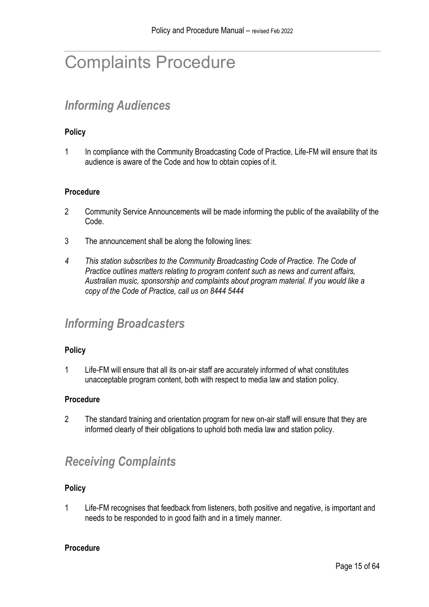# <span id="page-14-0"></span>Complaints Procedure

# <span id="page-14-1"></span>*Informing Audiences*

#### **Policy**

1 In compliance with the Community Broadcasting Code of Practice, Life-FM will ensure that its audience is aware of the Code and how to obtain copies of it.

#### **Procedure**

- 2 Community Service Announcements will be made informing the public of the availability of the Code.
- 3 The announcement shall be along the following lines:
- *4 This station subscribes to the Community Broadcasting Code of Practice. The Code of Practice outlines matters relating to program content such as news and current affairs, Australian music, sponsorship and complaints about program material. If you would like a copy of the Code of Practice, call us on 8444 5444*

### <span id="page-14-2"></span>*Informing Broadcasters*

#### **Policy**

1 Life-FM will ensure that all its on-air staff are accurately informed of what constitutes unacceptable program content, both with respect to media law and station policy.

#### **Procedure**

2 The standard training and orientation program for new on-air staff will ensure that they are informed clearly of their obligations to uphold both media law and station policy.

## <span id="page-14-3"></span>*Receiving Complaints*

#### **Policy**

1 Life-FM recognises that feedback from listeners, both positive and negative, is important and needs to be responded to in good faith and in a timely manner.

#### **Procedure**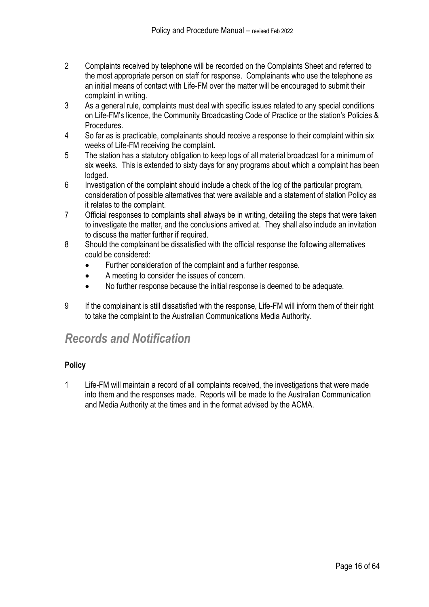- 2 Complaints received by telephone will be recorded on the Complaints Sheet and referred to the most appropriate person on staff for response. Complainants who use the telephone as an initial means of contact with Life-FM over the matter will be encouraged to submit their complaint in writing.
- 3 As a general rule, complaints must deal with specific issues related to any special conditions on Life-FM's licence, the Community Broadcasting Code of Practice or the station's Policies & Procedures.
- 4 So far as is practicable, complainants should receive a response to their complaint within six weeks of Life-FM receiving the complaint.
- 5 The station has a statutory obligation to keep logs of all material broadcast for a minimum of six weeks. This is extended to sixty days for any programs about which a complaint has been lodged.
- 6 Investigation of the complaint should include a check of the log of the particular program, consideration of possible alternatives that were available and a statement of station Policy as it relates to the complaint.
- 7 Official responses to complaints shall always be in writing, detailing the steps that were taken to investigate the matter, and the conclusions arrived at. They shall also include an invitation to discuss the matter further if required.
- 8 Should the complainant be dissatisfied with the official response the following alternatives could be considered:
	- Further consideration of the complaint and a further response.
	- A meeting to consider the issues of concern.
	- No further response because the initial response is deemed to be adequate.
- 9 If the complainant is still dissatisfied with the response, Life-FM will inform them of their right to take the complaint to the Australian Communications Media Authority.

## <span id="page-15-0"></span>*Records and Notification*

#### **Policy**

1 Life-FM will maintain a record of all complaints received, the investigations that were made into them and the responses made. Reports will be made to the Australian Communication and Media Authority at the times and in the format advised by the ACMA.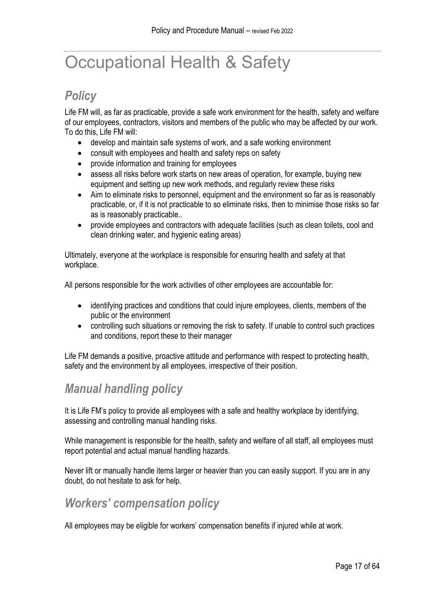# <span id="page-16-0"></span>Occupational Health & Safety

## <span id="page-16-1"></span>*Policy*

Life FM will, as far as practicable, provide a safe work environment for the health, safety and welfare of our employees, contractors, visitors and members of the public who may be affected by our work. To do this, Life FM will:

- develop and maintain safe systems of work, and a safe working environment
- consult with employees and health and safety reps on safety
- provide information and training for employees
- assess all risks before work starts on new areas of operation, for example, buying new equipment and setting up new work methods, and regularly review these risks
- Aim to eliminate risks to personnel, equipment and the environment so far as is reasonably practicable, or, if it is not practicable to so eliminate risks, then to minimise those risks so far as is reasonably practicable..
- provide employees and contractors with adequate facilities (such as clean toilets, cool and clean drinking water, and hygienic eating areas)

Ultimately, everyone at the workplace is responsible for ensuring health and safety at that workplace.

All persons responsible for the work activities of other employees are accountable for:

- identifying practices and conditions that could injure employees, clients, members of the public or the environment
- controlling such situations or removing the risk to safety. If unable to control such practices and conditions, report these to their manager

Life FM demands a positive, proactive attitude and performance with respect to protecting health, safety and the environment by all employees, irrespective of their position.

## <span id="page-16-2"></span>*Manual handling policy*

It is Life FM's policy to provide all employees with a safe and healthy workplace by identifying, assessing and controlling manual handling risks.

While management is responsible for the health, safety and welfare of all staff, all employees must report potential and actual manual handling hazards.

Never lift or manually handle items larger or heavier than you can easily support. If you are in any doubt, do not hesitate to ask for help.

## <span id="page-16-3"></span>*Workers' compensation policy*

All employees may be eligible for workers' compensation benefits if injured while at work.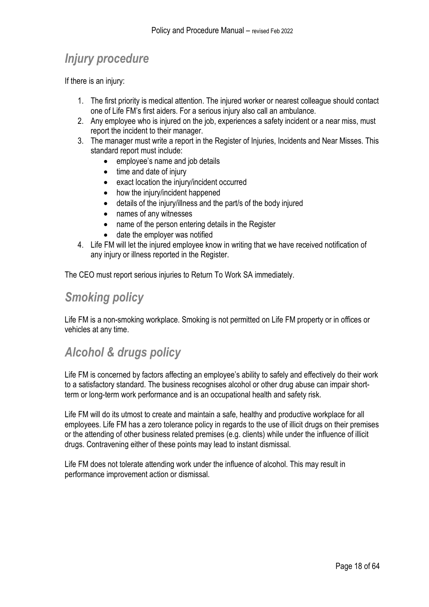# <span id="page-17-0"></span>*Injury procedure*

If there is an injury:

- 1. The first priority is medical attention. The injured worker or nearest colleague should contact one of Life FM's first aiders. For a serious injury also call an ambulance.
- 2. Any employee who is injured on the job, experiences a safety incident or a near miss, must report the incident to their manager.
- 3. The manager must write a report in the Register of Injuries, Incidents and Near Misses. This standard report must include:
	- employee's name and job details
	- time and date of injury
	- exact location the injury/incident occurred
	- how the injury/incident happened
	- details of the injury/illness and the part/s of the body injured
	- names of any witnesses
	- name of the person entering details in the Register
	- date the employer was notified
- 4. Life FM will let the injured employee know in writing that we have received notification of any injury or illness reported in the Register.

The CEO must report serious injuries to Return To Work SA immediately.

### <span id="page-17-1"></span>*Smoking policy*

Life FM is a non-smoking workplace. Smoking is not permitted on Life FM property or in offices or vehicles at any time.

## <span id="page-17-2"></span>*Alcohol & drugs policy*

Life FM is concerned by factors affecting an employee's ability to safely and effectively do their work to a satisfactory standard. The business recognises alcohol or other drug abuse can impair shortterm or long-term work performance and is an occupational health and safety risk.

Life FM will do its utmost to create and maintain a safe, healthy and productive workplace for all employees. Life FM has a zero tolerance policy in regards to the use of illicit drugs on their premises or the attending of other business related premises (e.g. clients) while under the influence of illicit drugs. Contravening either of these points may lead to instant dismissal.

Life FM does not tolerate attending work under the influence of alcohol. This may result in performance improvement action or dismissal.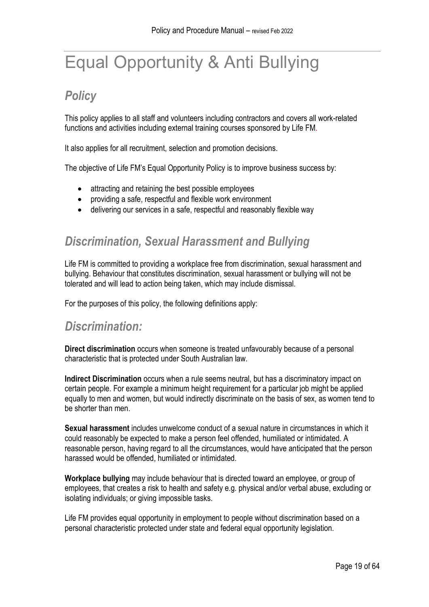# <span id="page-18-0"></span>Equal Opportunity & Anti Bullying

# <span id="page-18-1"></span>*Policy*

This policy applies to all staff and volunteers including contractors and covers all work-related functions and activities including external training courses sponsored by Life FM.

It also applies for all recruitment, selection and promotion decisions.

The objective of Life FM's Equal Opportunity Policy is to improve business success by:

- attracting and retaining the best possible employees
- providing a safe, respectful and flexible work environment
- delivering our services in a safe, respectful and reasonably flexible way

## <span id="page-18-2"></span>*Discrimination, Sexual Harassment and Bullying*

Life FM is committed to providing a workplace free from discrimination, sexual harassment and bullying. Behaviour that constitutes discrimination, sexual harassment or bullying will not be tolerated and will lead to action being taken, which may include dismissal.

For the purposes of this policy, the following definitions apply:

#### <span id="page-18-3"></span>*Discrimination:*

**Direct discrimination** occurs when someone is treated unfavourably because of a personal characteristic that is protected under South Australian law.

**Indirect Discrimination** occurs when a rule seems neutral, but has a discriminatory impact on certain people. For example a minimum height requirement for a particular job might be applied equally to men and women, but would indirectly discriminate on the basis of sex, as women tend to be shorter than men.

**Sexual harassment** includes unwelcome conduct of a sexual nature in circumstances in which it could reasonably be expected to make a person feel offended, humiliated or intimidated. A reasonable person, having regard to all the circumstances, would have anticipated that the person harassed would be offended, humiliated or intimidated.

**Workplace bullying** may include behaviour that is directed toward an employee, or group of employees, that creates a risk to health and safety e.g. physical and/or verbal abuse, excluding or isolating individuals; or giving impossible tasks.

Life FM provides equal opportunity in employment to people without discrimination based on a personal characteristic protected under state and federal equal opportunity legislation.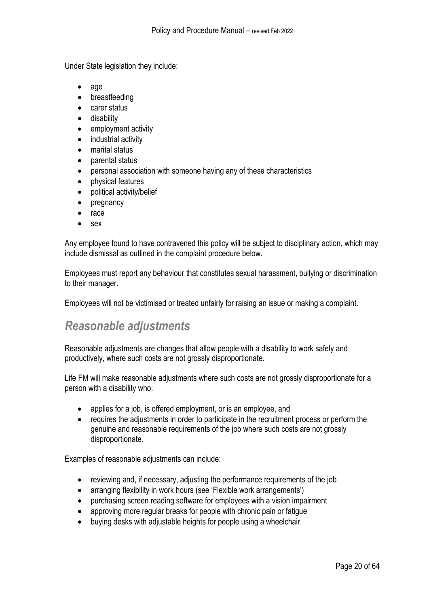Under State legislation they include:

- age
- breastfeeding
- carer status
- disability
- employment activity
- industrial activity
- marital status
- parental status
- personal association with someone having any of these characteristics
- physical features
- political activity/belief
- pregnancy
- race
- sex

Any employee found to have contravened this policy will be subject to disciplinary action, which may include dismissal as outlined in the complaint procedure below.

Employees must report any behaviour that constitutes sexual harassment, bullying or discrimination to their manager.

Employees will not be victimised or treated unfairly for raising an issue or making a complaint.

## <span id="page-19-0"></span>*Reasonable adjustments*

Reasonable adjustments are changes that allow people with a disability to work safely and productively, where such costs are not grossly disproportionate.

Life FM will make reasonable adjustments where such costs are not grossly disproportionate for a person with a disability who:

- applies for a job, is offered employment, or is an employee, and
- requires the adjustments in order to participate in the recruitment process or perform the genuine and reasonable requirements of the job where such costs are not grossly disproportionate.

Examples of reasonable adjustments can include:

- reviewing and, if necessary, adjusting the performance requirements of the job
- arranging flexibility in work hours (see 'Flexible work arrangements')
- purchasing screen reading software for employees with a vision impairment
- approving more regular breaks for people with chronic pain or fatigue
- buying desks with adjustable heights for people using a wheelchair.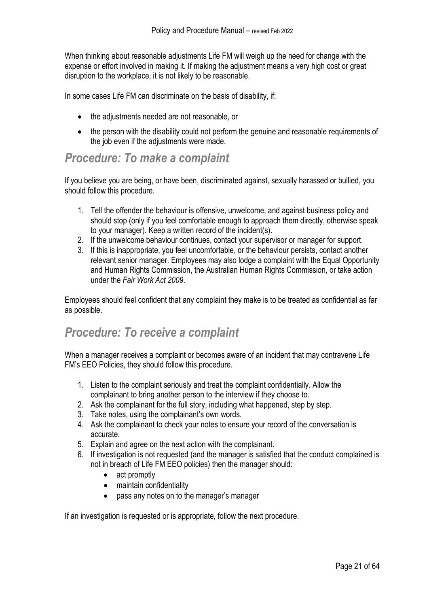When thinking about reasonable adjustments Life FM will weigh up the need for change with the expense or effort involved in making it. If making the adjustment means a very high cost or great disruption to the workplace, it is not likely to be reasonable.

In some cases Life FM can discriminate on the basis of disability, if:

- the adjustments needed are not reasonable, or
- the person with the disability could not perform the genuine and reasonable requirements of the job even if the adjustments were made.

### <span id="page-20-0"></span>*Procedure: To make a complaint*

If you believe you are being, or have been, discriminated against, sexually harassed or bullied, you should follow this procedure.

- 1. Tell the offender the behaviour is offensive, unwelcome, and against business policy and should stop (only if you feel comfortable enough to approach them directly, otherwise speak to your manager). Keep a written record of the incident(s).
- 2. If the unwelcome behaviour continues, contact your supervisor or manager for support.
- 3. If this is inappropriate, you feel uncomfortable, or the behaviour persists, contact another relevant senior manager. Employees may also lodge a complaint with the Equal Opportunity and Human Rights Commission, the Australian Human Rights Commission, or take action under the *Fair Work Act 2009*.

Employees should feel confident that any complaint they make is to be treated as confidential as far as possible.

## <span id="page-20-1"></span>*Procedure: To receive a complaint*

When a manager receives a complaint or becomes aware of an incident that may contravene Life FM's EEO Policies, they should follow this procedure.

- 1. Listen to the complaint seriously and treat the complaint confidentially. Allow the complainant to bring another person to the interview if they choose to.
- 2. Ask the complainant for the full story, including what happened, step by step.
- 3. Take notes, using the complainant's own words.
- 4. Ask the complainant to check your notes to ensure your record of the conversation is accurate.
- 5. Explain and agree on the next action with the complainant.
- 6. If investigation is not requested (and the manager is satisfied that the conduct complained is not in breach of Life FM EEO policies) then the manager should:
	- act promptly
	- maintain confidentiality
	- pass any notes on to the manager's manager

If an investigation is requested or is appropriate, follow the next procedure.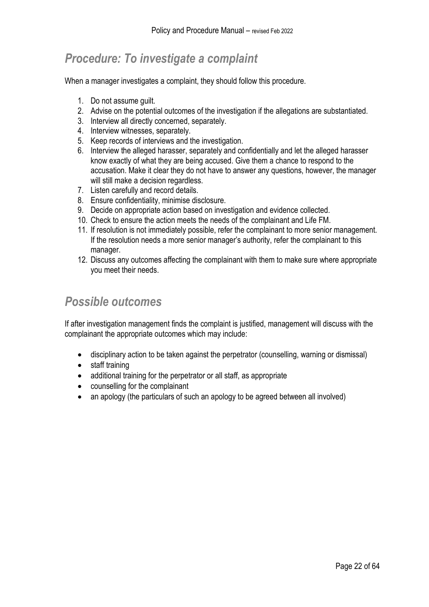## <span id="page-21-0"></span>*Procedure: To investigate a complaint*

When a manager investigates a complaint, they should follow this procedure.

- 1. Do not assume guilt.
- 2. Advise on the potential outcomes of the investigation if the allegations are substantiated.
- 3. Interview all directly concerned, separately.
- 4. Interview witnesses, separately.
- 5. Keep records of interviews and the investigation.
- 6. Interview the alleged harasser, separately and confidentially and let the alleged harasser know exactly of what they are being accused. Give them a chance to respond to the accusation. Make it clear they do not have to answer any questions, however, the manager will still make a decision regardless.
- 7. Listen carefully and record details.
- 8. Ensure confidentiality, minimise disclosure.
- 9. Decide on appropriate action based on investigation and evidence collected.
- 10. Check to ensure the action meets the needs of the complainant and Life FM.
- 11. If resolution is not immediately possible, refer the complainant to more senior management. If the resolution needs a more senior manager's authority, refer the complainant to this manager.
- 12. Discuss any outcomes affecting the complainant with them to make sure where appropriate you meet their needs.

### <span id="page-21-1"></span>*Possible outcomes*

If after investigation management finds the complaint is justified, management will discuss with the complainant the appropriate outcomes which may include:

- disciplinary action to be taken against the perpetrator (counselling, warning or dismissal)
- staff training
- additional training for the perpetrator or all staff, as appropriate
- counselling for the complainant
- an apology (the particulars of such an apology to be agreed between all involved)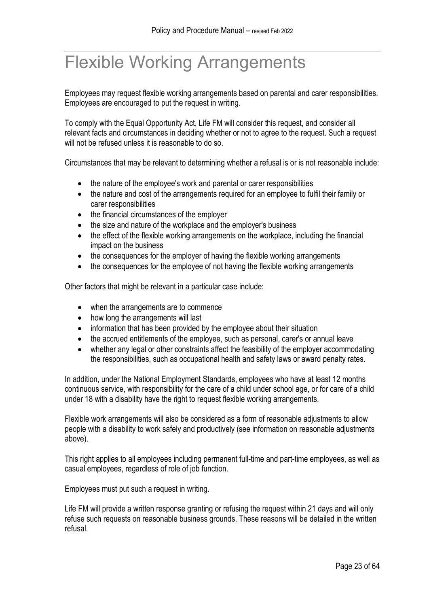# <span id="page-22-0"></span>Flexible Working Arrangements

Employees may request flexible working arrangements based on parental and carer responsibilities. Employees are encouraged to put the request in writing.

To comply with the Equal Opportunity Act, Life FM will consider this request, and consider all relevant facts and circumstances in deciding whether or not to agree to the request. Such a request will not be refused unless it is reasonable to do so.

Circumstances that may be relevant to determining whether a refusal is or is not reasonable include:

- the nature of the employee's work and parental or carer responsibilities
- the nature and cost of the arrangements required for an employee to fulfil their family or carer responsibilities
- the financial circumstances of the employer
- the size and nature of the workplace and the employer's business
- the effect of the flexible working arrangements on the workplace, including the financial impact on the business
- the consequences for the employer of having the flexible working arrangements
- the consequences for the employee of not having the flexible working arrangements

Other factors that might be relevant in a particular case include:

- when the arrangements are to commence
- how long the arrangements will last
- information that has been provided by the employee about their situation
- the accrued entitlements of the employee, such as personal, carer's or annual leave
- whether any legal or other constraints affect the feasibility of the employer accommodating the responsibilities, such as occupational health and safety laws or award penalty rates.

In addition, under the National Employment Standards, employees who have at least 12 months continuous service, with responsibility for the care of a child under school age, or for care of a child under 18 with a disability have the right to request flexible working arrangements.

Flexible work arrangements will also be considered as a form of reasonable adjustments to allow people with a disability to work safely and productively (see information on reasonable adjustments above).

This right applies to all employees including permanent full-time and part-time employees, as well as casual employees, regardless of role of job function.

Employees must put such a request in writing.

Life FM will provide a written response granting or refusing the request within 21 days and will only refuse such requests on reasonable business grounds. These reasons will be detailed in the written refusal.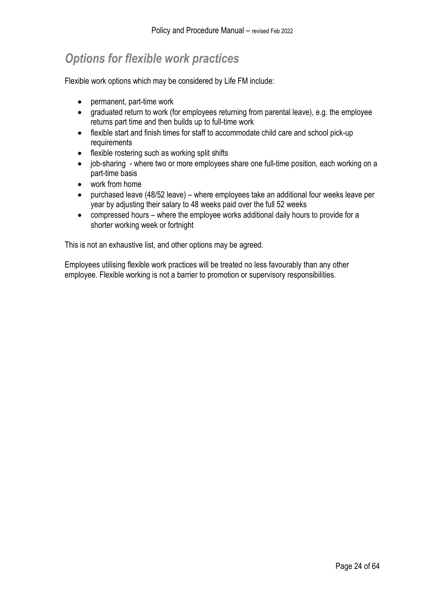# <span id="page-23-0"></span>*Options for flexible work practices*

Flexible work options which may be considered by Life FM include:

- permanent, part-time work
- graduated return to work (for employees returning from parental leave), e.g. the employee returns part time and then builds up to full-time work
- flexible start and finish times for staff to accommodate child care and school pick-up requirements
- flexible rostering such as working split shifts
- job-sharing where two or more employees share one full-time position, each working on a part-time basis
- work from home
- purchased leave (48/52 leave) where employees take an additional four weeks leave per year by adjusting their salary to 48 weeks paid over the full 52 weeks
- compressed hours where the employee works additional daily hours to provide for a shorter working week or fortnight

This is not an exhaustive list, and other options may be agreed.

Employees utilising flexible work practices will be treated no less favourably than any other employee. Flexible working is not a barrier to promotion or supervisory responsibilities.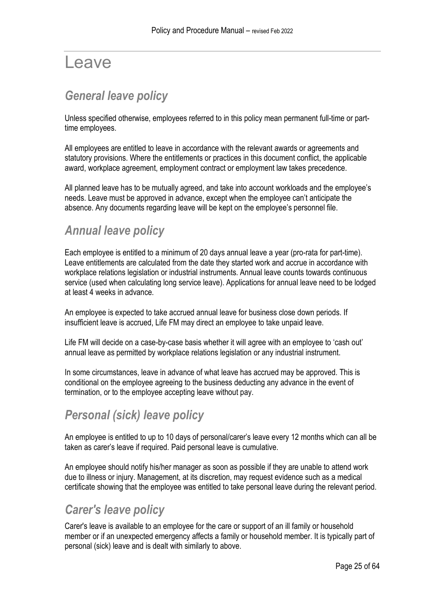# <span id="page-24-0"></span>Leave

# <span id="page-24-1"></span>*General leave policy*

Unless specified otherwise, employees referred to in this policy mean permanent full-time or parttime employees.

All employees are entitled to leave in accordance with the relevant awards or agreements and statutory provisions. Where the entitlements or practices in this document conflict, the applicable award, workplace agreement, employment contract or employment law takes precedence.

All planned leave has to be mutually agreed, and take into account workloads and the employee's needs. Leave must be approved in advance, except when the employee can't anticipate the absence. Any documents regarding leave will be kept on the employee's personnel file.

## <span id="page-24-2"></span>*Annual leave policy*

Each employee is entitled to a minimum of 20 days annual leave a year (pro-rata for part-time). Leave entitlements are calculated from the date they started work and accrue in accordance with workplace relations legislation or industrial instruments. Annual leave counts towards continuous service (used when calculating long service leave). Applications for annual leave need to be lodged at least 4 weeks in advance.

An employee is expected to take accrued annual leave for business close down periods. If insufficient leave is accrued, Life FM may direct an employee to take unpaid leave.

Life FM will decide on a case-by-case basis whether it will agree with an employee to 'cash out' annual leave as permitted by workplace relations legislation or any industrial instrument.

In some circumstances, leave in advance of what leave has accrued may be approved. This is conditional on the employee agreeing to the business deducting any advance in the event of termination, or to the employee accepting leave without pay.

## <span id="page-24-3"></span>*Personal (sick) leave policy*

An employee is entitled to up to 10 days of personal/carer's leave every 12 months which can all be taken as carer's leave if required. Paid personal leave is cumulative.

An employee should notify his/her manager as soon as possible if they are unable to attend work due to illness or injury. Management, at its discretion, may request evidence such as a medical certificate showing that the employee was entitled to take personal leave during the relevant period.

## <span id="page-24-4"></span>*Carer's leave policy*

Carer's leave is available to an employee for the care or support of an ill family or household member or if an unexpected emergency affects a family or household member. It is typically part of personal (sick) leave and is dealt with similarly to above.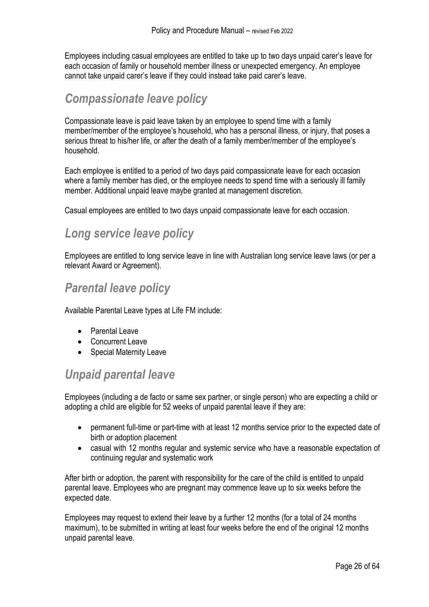Employees including casual employees are entitled to take up to two days unpaid carer's leave for each occasion of family or household member illness or unexpected emergency. An employee cannot take unpaid carer's leave if they could instead take paid carer's leave.

### <span id="page-25-0"></span>*Compassionate leave policy*

Compassionate leave is paid leave taken by an employee to spend time with a family member/member of the employee's household, who has a personal illness, or injury, that poses a serious threat to his/her life, or after the death of a family member/member of the employee's household.

Each employee is entitled to a period of two days paid compassionate leave for each occasion where a family member has died, or the employee needs to spend time with a seriously ill family member. Additional unpaid leave maybe granted at management discretion.

Casual employees are entitled to two days unpaid compassionate leave for each occasion.

## <span id="page-25-1"></span>*Long service leave policy*

Employees are entitled to long service leave in line with Australian long service leave laws (or per a relevant Award or Agreement).

#### <span id="page-25-2"></span>*Parental leave policy*

Available Parental Leave types at Life FM include:

- Parental Leave
- Concurrent Leave
- Special Maternity Leave

### <span id="page-25-3"></span>*Unpaid parental leave*

Employees (including a de facto or same sex partner, or single person) who are expecting a child or adopting a child are eligible for 52 weeks of unpaid parental leave if they are:

- permanent full-time or part-time with at least 12 months service prior to the expected date of birth or adoption placement
- casual with 12 months regular and systemic service who have a reasonable expectation of continuing regular and systematic work

After birth or adoption, the parent with responsibility for the care of the child is entitled to unpaid parental leave. Employees who are pregnant may commence leave up to six weeks before the expected date.

Employees may request to extend their leave by a further 12 months (for a total of 24 months maximum), to be submitted in writing at least four weeks before the end of the original 12 months unpaid parental leave.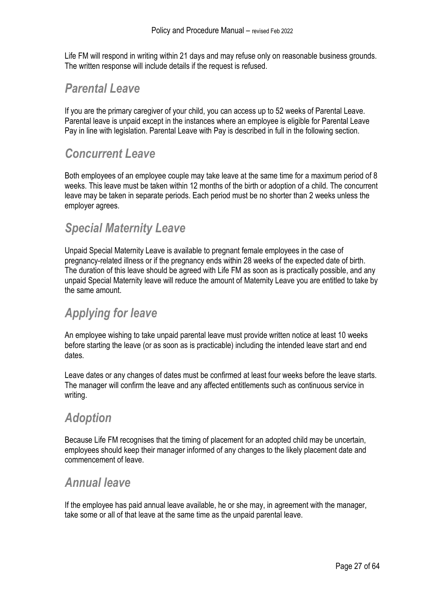Life FM will respond in writing within 21 days and may refuse only on reasonable business grounds. The written response will include details if the request is refused.

### <span id="page-26-0"></span>*Parental Leave*

If you are the primary caregiver of your child, you can access up to 52 weeks of Parental Leave. Parental leave is unpaid except in the instances where an employee is eligible for Parental Leave Pay in line with legislation. Parental Leave with Pay is described in full in the following section.

### <span id="page-26-1"></span>*Concurrent Leave*

Both employees of an employee couple may take leave at the same time for a maximum period of 8 weeks. This leave must be taken within 12 months of the birth or adoption of a child. The concurrent leave may be taken in separate periods. Each period must be no shorter than 2 weeks unless the employer agrees.

## <span id="page-26-2"></span>*Special Maternity Leave*

Unpaid Special Maternity Leave is available to pregnant female employees in the case of pregnancy-related illness or if the pregnancy ends within 28 weeks of the expected date of birth. The duration of this leave should be agreed with Life FM as soon as is practically possible, and any unpaid Special Maternity leave will reduce the amount of Maternity Leave you are entitled to take by the same amount.

## <span id="page-26-3"></span>*Applying for leave*

An employee wishing to take unpaid parental leave must provide written notice at least 10 weeks before starting the leave (or as soon as is practicable) including the intended leave start and end dates.

Leave dates or any changes of dates must be confirmed at least four weeks before the leave starts. The manager will confirm the leave and any affected entitlements such as continuous service in writing.

### <span id="page-26-4"></span>*Adoption*

Because Life FM recognises that the timing of placement for an adopted child may be uncertain, employees should keep their manager informed of any changes to the likely placement date and commencement of leave.

### <span id="page-26-5"></span>*Annual leave*

If the employee has paid annual leave available, he or she may, in agreement with the manager, take some or all of that leave at the same time as the unpaid parental leave.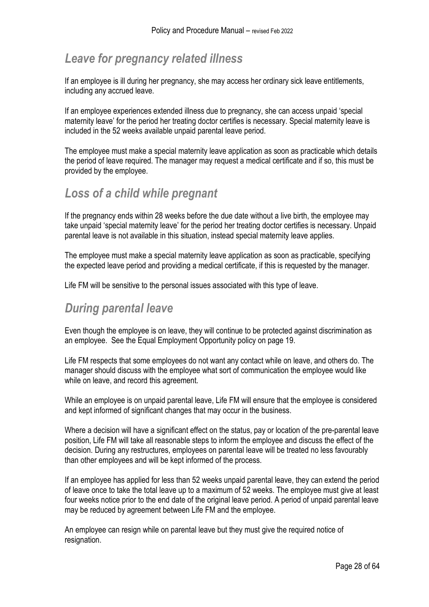## <span id="page-27-0"></span>*Leave for pregnancy related illness*

If an employee is ill during her pregnancy, she may access her ordinary sick leave entitlements, including any accrued leave.

If an employee experiences extended illness due to pregnancy, she can access unpaid 'special maternity leave' for the period her treating doctor certifies is necessary. Special maternity leave is included in the 52 weeks available unpaid parental leave period.

The employee must make a special maternity leave application as soon as practicable which details the period of leave required. The manager may request a medical certificate and if so, this must be provided by the employee.

### <span id="page-27-1"></span>*Loss of a child while pregnant*

If the pregnancy ends within 28 weeks before the due date without a live birth, the employee may take unpaid 'special maternity leave' for the period her treating doctor certifies is necessary. Unpaid parental leave is not available in this situation, instead special maternity leave applies.

The employee must make a special maternity leave application as soon as practicable, specifying the expected leave period and providing a medical certificate, if this is requested by the manager.

Life FM will be sensitive to the personal issues associated with this type of leave.

### <span id="page-27-2"></span>*During parental leave*

Even though the employee is on leave, they will continue to be protected against discrimination as an employee. See the Equal Employment Opportunity policy on page [19.](#page-18-1)

Life FM respects that some employees do not want any contact while on leave, and others do. The manager should discuss with the employee what sort of communication the employee would like while on leave, and record this agreement.

While an employee is on unpaid parental leave, Life FM will ensure that the employee is considered and kept informed of significant changes that may occur in the business.

Where a decision will have a significant effect on the status, pay or location of the pre-parental leave position, Life FM will take all reasonable steps to inform the employee and discuss the effect of the decision. During any restructures, employees on parental leave will be treated no less favourably than other employees and will be kept informed of the process.

If an employee has applied for less than 52 weeks unpaid parental leave, they can extend the period of leave once to take the total leave up to a maximum of 52 weeks. The employee must give at least four weeks notice prior to the end date of the original leave period. A period of unpaid parental leave may be reduced by agreement between Life FM and the employee.

An employee can resign while on parental leave but they must give the required notice of resignation.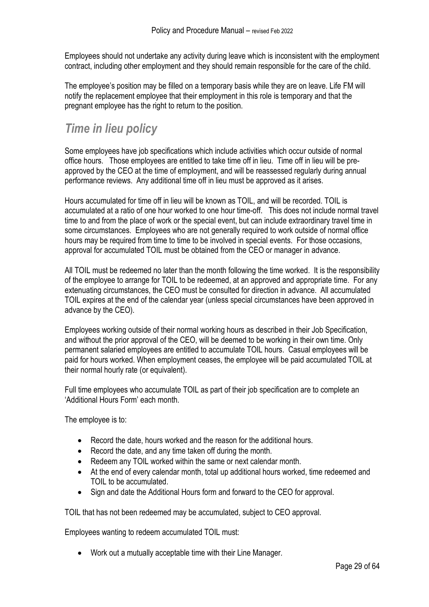Employees should not undertake any activity during leave which is inconsistent with the employment contract, including other employment and they should remain responsible for the care of the child.

The employee's position may be filled on a temporary basis while they are on leave. Life FM will notify the replacement employee that their employment in this role is temporary and that the pregnant employee has the right to return to the position.

# <span id="page-28-0"></span>*Time in lieu policy*

Some employees have job specifications which include activities which occur outside of normal office hours. Those employees are entitled to take time off in lieu. Time off in lieu will be preapproved by the CEO at the time of employment, and will be reassessed regularly during annual performance reviews. Any additional time off in lieu must be approved as it arises.

Hours accumulated for time off in lieu will be known as TOIL, and will be recorded. TOIL is accumulated at a ratio of one hour worked to one hour time-off. This does not include normal travel time to and from the place of work or the special event, but can include extraordinary travel time in some circumstances. Employees who are not generally required to work outside of normal office hours may be required from time to time to be involved in special events. For those occasions, approval for accumulated TOIL must be obtained from the CEO or manager in advance.

All TOIL must be redeemed no later than the month following the time worked. It is the responsibility of the employee to arrange for TOIL to be redeemed, at an approved and appropriate time. For any extenuating circumstances, the CEO must be consulted for direction in advance. All accumulated TOIL expires at the end of the calendar year (unless special circumstances have been approved in advance by the CEO).

Employees working outside of their normal working hours as described in their Job Specification, and without the prior approval of the CEO, will be deemed to be working in their own time. Only permanent salaried employees are entitled to accumulate TOIL hours. Casual employees will be paid for hours worked. When employment ceases, the employee will be paid accumulated TOIL at their normal hourly rate (or equivalent).

Full time employees who accumulate TOIL as part of their job specification are to complete an 'Additional Hours Form' each month.

The employee is to:

- Record the date, hours worked and the reason for the additional hours.
- Record the date, and any time taken off during the month.
- Redeem any TOIL worked within the same or next calendar month.
- At the end of every calendar month, total up additional hours worked, time redeemed and TOIL to be accumulated.
- Sign and date the Additional Hours form and forward to the CEO for approval.

TOIL that has not been redeemed may be accumulated, subject to CEO approval.

Employees wanting to redeem accumulated TOIL must:

• Work out a mutually acceptable time with their Line Manager.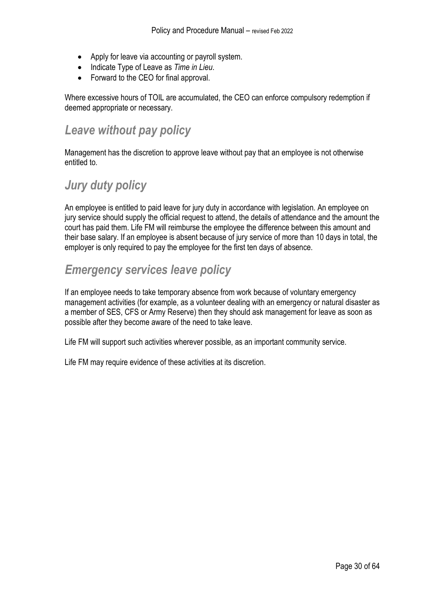- Apply for leave via accounting or payroll system.
- Indicate Type of Leave as *Time in Lieu*.
- Forward to the CEO for final approval.

Where excessive hours of TOIL are accumulated, the CEO can enforce compulsory redemption if deemed appropriate or necessary.

### <span id="page-29-0"></span>*Leave without pay policy*

Management has the discretion to approve leave without pay that an employee is not otherwise entitled to.

## <span id="page-29-1"></span>*Jury duty policy*

An employee is entitled to paid leave for jury duty in accordance with legislation. An employee on jury service should supply the official request to attend, the details of attendance and the amount the court has paid them. Life FM will reimburse the employee the difference between this amount and their base salary. If an employee is absent because of jury service of more than 10 days in total, the employer is only required to pay the employee for the first ten days of absence.

## <span id="page-29-2"></span>*Emergency services leave policy*

If an employee needs to take temporary absence from work because of voluntary emergency management activities (for example, as a volunteer dealing with an emergency or natural disaster as a member of SES, CFS or Army Reserve) then they should ask management for leave as soon as possible after they become aware of the need to take leave.

Life FM will support such activities wherever possible, as an important community service.

Life FM may require evidence of these activities at its discretion.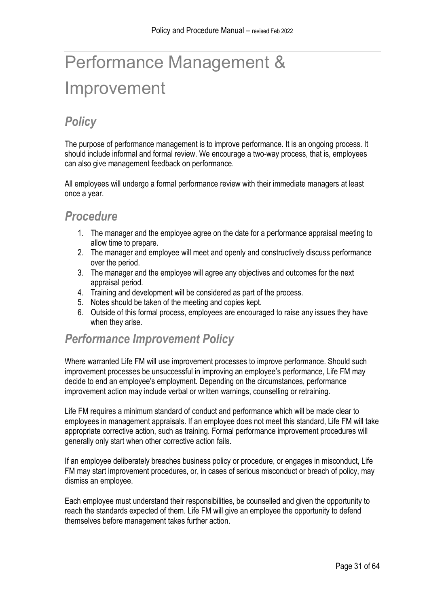# <span id="page-30-0"></span>Performance Management & Improvement

# <span id="page-30-1"></span>*Policy*

The purpose of performance management is to improve performance. It is an ongoing process. It should include informal and formal review. We encourage a two-way process, that is, employees can also give management feedback on performance.

All employees will undergo a formal performance review with their immediate managers at least once a year.

#### <span id="page-30-2"></span>*Procedure*

- 1. The manager and the employee agree on the date for a performance appraisal meeting to allow time to prepare.
- 2. The manager and employee will meet and openly and constructively discuss performance over the period.
- 3. The manager and the employee will agree any objectives and outcomes for the next appraisal period.
- 4. Training and development will be considered as part of the process.
- 5. Notes should be taken of the meeting and copies kept.
- 6. Outside of this formal process, employees are encouraged to raise any issues they have when they arise.

#### <span id="page-30-3"></span>*Performance Improvement Policy*

Where warranted Life FM will use improvement processes to improve performance. Should such improvement processes be unsuccessful in improving an employee's performance, Life FM may decide to end an employee's employment. Depending on the circumstances, performance improvement action may include verbal or written warnings, counselling or retraining.

Life FM requires a minimum standard of conduct and performance which will be made clear to employees in management appraisals. If an employee does not meet this standard, Life FM will take appropriate corrective action, such as training. Formal performance improvement procedures will generally only start when other corrective action fails.

If an employee deliberately breaches business policy or procedure, or engages in misconduct, Life FM may start improvement procedures, or, in cases of serious misconduct or breach of policy, may dismiss an employee.

Each employee must understand their responsibilities, be counselled and given the opportunity to reach the standards expected of them. Life FM will give an employee the opportunity to defend themselves before management takes further action.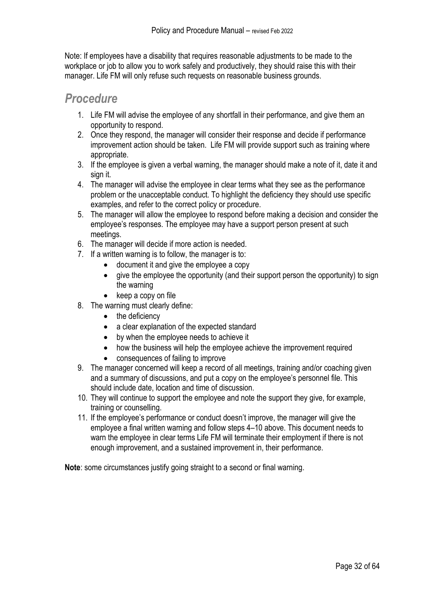Note: If employees have a disability that requires reasonable adjustments to be made to the workplace or job to allow you to work safely and productively, they should raise this with their manager. Life FM will only refuse such requests on reasonable business grounds.

#### <span id="page-31-0"></span>*Procedure*

- 1. Life FM will advise the employee of any shortfall in their performance, and give them an opportunity to respond.
- 2. Once they respond, the manager will consider their response and decide if performance improvement action should be taken. Life FM will provide support such as training where appropriate.
- 3. If the employee is given a verbal warning, the manager should make a note of it, date it and sign it.
- 4. The manager will advise the employee in clear terms what they see as the performance problem or the unacceptable conduct. To highlight the deficiency they should use specific examples, and refer to the correct policy or procedure.
- 5. The manager will allow the employee to respond before making a decision and consider the employee's responses. The employee may have a support person present at such meetings.
- 6. The manager will decide if more action is needed.
- 7. If a written warning is to follow, the manager is to:
	- document it and give the employee a copy
	- give the employee the opportunity (and their support person the opportunity) to sign the warning
	- keep a copy on file
- 8. The warning must clearly define:
	- the deficiency
	- a clear explanation of the expected standard
	- by when the employee needs to achieve it
	- how the business will help the employee achieve the improvement required
	- consequences of failing to improve
- 9. The manager concerned will keep a record of all meetings, training and/or coaching given and a summary of discussions, and put a copy on the employee's personnel file. This should include date, location and time of discussion.
- 10. They will continue to support the employee and note the support they give, for example, training or counselling.
- 11. If the employee's performance or conduct doesn't improve, the manager will give the employee a final written warning and follow steps 4–10 above. This document needs to warn the employee in clear terms Life FM will terminate their employment if there is not enough improvement, and a sustained improvement in, their performance.

**Note**: some circumstances justify going straight to a second or final warning.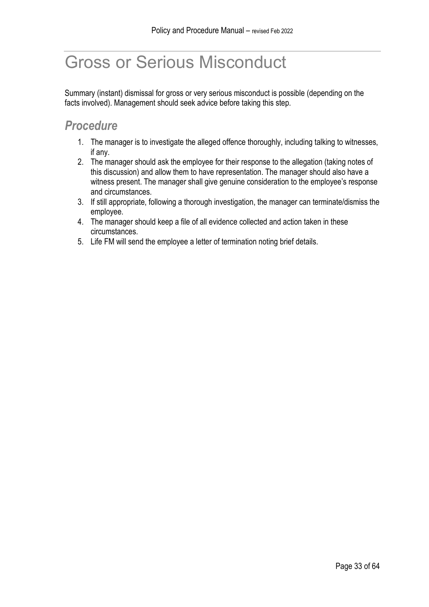# <span id="page-32-0"></span>Gross or Serious Misconduct

Summary (instant) dismissal for gross or very serious misconduct is possible (depending on the facts involved). Management should seek advice before taking this step.

## <span id="page-32-1"></span>*Procedure*

- 1. The manager is to investigate the alleged offence thoroughly, including talking to witnesses, if any.
- 2. The manager should ask the employee for their response to the allegation (taking notes of this discussion) and allow them to have representation. The manager should also have a witness present. The manager shall give genuine consideration to the employee's response and circumstances.
- 3. If still appropriate, following a thorough investigation, the manager can terminate/dismiss the employee.
- 4. The manager should keep a file of all evidence collected and action taken in these circumstances.
- 5. Life FM will send the employee a letter of termination noting brief details.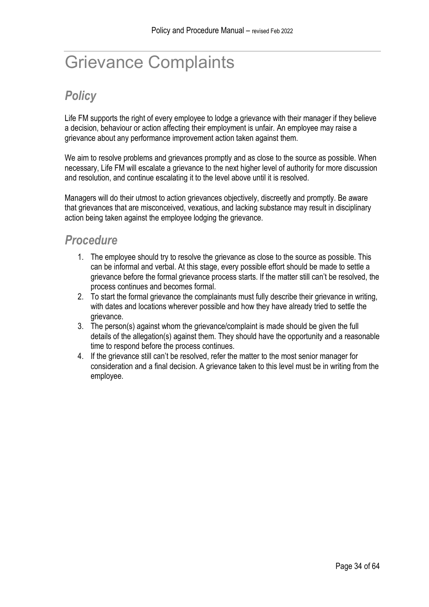# <span id="page-33-0"></span>Grievance Complaints

# <span id="page-33-1"></span>*Policy*

Life FM supports the right of every employee to lodge a grievance with their manager if they believe a decision, behaviour or action affecting their employment is unfair. An employee may raise a grievance about any performance improvement action taken against them.

We aim to resolve problems and grievances promptly and as close to the source as possible. When necessary, Life FM will escalate a grievance to the next higher level of authority for more discussion and resolution, and continue escalating it to the level above until it is resolved.

Managers will do their utmost to action grievances objectively, discreetly and promptly. Be aware that grievances that are misconceived, vexatious, and lacking substance may result in disciplinary action being taken against the employee lodging the grievance.

### <span id="page-33-2"></span>*Procedure*

- 1. The employee should try to resolve the grievance as close to the source as possible. This can be informal and verbal. At this stage, every possible effort should be made to settle a grievance before the formal grievance process starts. If the matter still can't be resolved, the process continues and becomes formal.
- 2. To start the formal grievance the complainants must fully describe their grievance in writing, with dates and locations wherever possible and how they have already tried to settle the grievance.
- 3. The person(s) against whom the grievance/complaint is made should be given the full details of the allegation(s) against them. They should have the opportunity and a reasonable time to respond before the process continues.
- 4. If the grievance still can't be resolved, refer the matter to the most senior manager for consideration and a final decision. A grievance taken to this level must be in writing from the employee.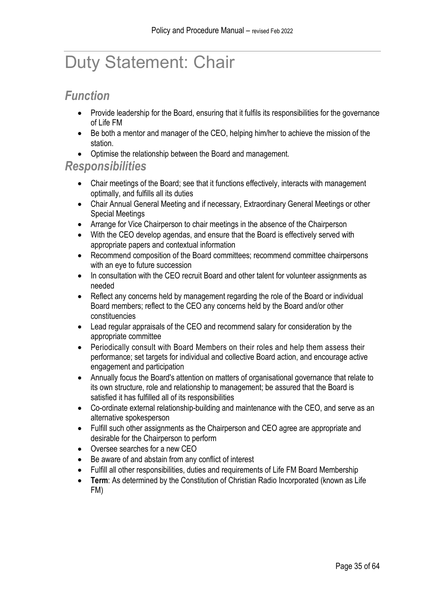# <span id="page-34-0"></span>Duty Statement: Chair

#### <span id="page-34-1"></span>*Function*

- Provide leadership for the Board, ensuring that it fulfils its responsibilities for the governance of Life FM
- Be both a mentor and manager of the CEO, helping him/her to achieve the mission of the station.
- Optimise the relationship between the Board and management.

#### <span id="page-34-2"></span>*Responsibilities*

- Chair meetings of the Board; see that it functions effectively, interacts with management optimally, and fulfills all its duties
- Chair Annual General Meeting and if necessary, Extraordinary General Meetings or other Special Meetings
- Arrange for Vice Chairperson to chair meetings in the absence of the Chairperson
- With the CEO develop agendas, and ensure that the Board is effectively served with appropriate papers and contextual information
- Recommend composition of the Board committees; recommend committee chairpersons with an eve to future succession
- In consultation with the CEO recruit Board and other talent for volunteer assignments as needed
- Reflect any concerns held by management regarding the role of the Board or individual Board members; reflect to the CEO any concerns held by the Board and/or other constituencies
- Lead regular appraisals of the CEO and recommend salary for consideration by the appropriate committee
- Periodically consult with Board Members on their roles and help them assess their performance; set targets for individual and collective Board action, and encourage active engagement and participation
- Annually focus the Board's attention on matters of organisational governance that relate to its own structure, role and relationship to management; be assured that the Board is satisfied it has fulfilled all of its responsibilities
- Co-ordinate external relationship-building and maintenance with the CEO, and serve as an alternative spokesperson
- Fulfill such other assignments as the Chairperson and CEO agree are appropriate and desirable for the Chairperson to perform
- Oversee searches for a new CEO
- Be aware of and abstain from any conflict of interest
- Fulfill all other responsibilities, duties and requirements of Life FM Board Membership
- **Term**: As determined by the Constitution of Christian Radio Incorporated (known as Life FM)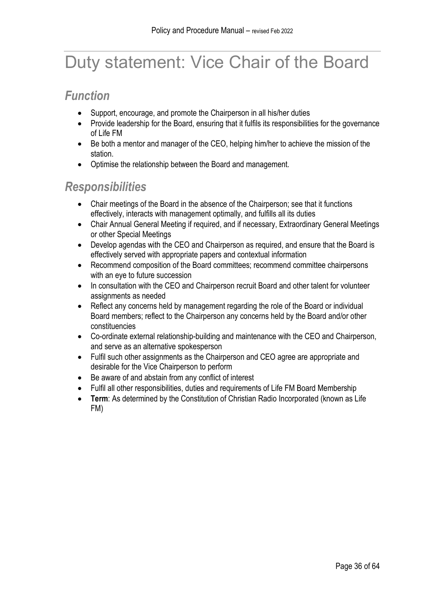# <span id="page-35-0"></span>Duty statement: Vice Chair of the Board

## <span id="page-35-1"></span>*Function*

- Support, encourage, and promote the Chairperson in all his/her duties
- Provide leadership for the Board, ensuring that it fulfils its responsibilities for the governance of Life FM
- Be both a mentor and manager of the CEO, helping him/her to achieve the mission of the station.
- Optimise the relationship between the Board and management.

## <span id="page-35-2"></span>*Responsibilities*

- Chair meetings of the Board in the absence of the Chairperson; see that it functions effectively, interacts with management optimally, and fulfills all its duties
- Chair Annual General Meeting if required, and if necessary, Extraordinary General Meetings or other Special Meetings
- Develop agendas with the CEO and Chairperson as required, and ensure that the Board is effectively served with appropriate papers and contextual information
- Recommend composition of the Board committees; recommend committee chairpersons with an eye to future succession
- In consultation with the CEO and Chairperson recruit Board and other talent for volunteer assignments as needed
- Reflect any concerns held by management regarding the role of the Board or individual Board members; reflect to the Chairperson any concerns held by the Board and/or other constituencies
- Co-ordinate external relationship-building and maintenance with the CEO and Chairperson, and serve as an alternative spokesperson
- Fulfil such other assignments as the Chairperson and CEO agree are appropriate and desirable for the Vice Chairperson to perform
- Be aware of and abstain from any conflict of interest
- Fulfil all other responsibilities, duties and requirements of Life FM Board Membership
- **Term**: As determined by the Constitution of Christian Radio Incorporated (known as Life FM)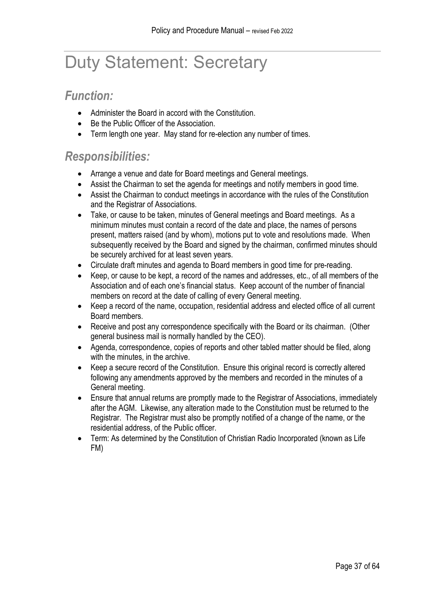# <span id="page-36-0"></span>Duty Statement: Secretary

#### <span id="page-36-1"></span>*Function:*

- Administer the Board in accord with the Constitution.
- Be the Public Officer of the Association.
- Term length one year. May stand for re-election any number of times.

#### <span id="page-36-2"></span>*Responsibilities:*

- Arrange a venue and date for Board meetings and General meetings.
- Assist the Chairman to set the agenda for meetings and notify members in good time.
- Assist the Chairman to conduct meetings in accordance with the rules of the Constitution and the Registrar of Associations.
- Take, or cause to be taken, minutes of General meetings and Board meetings. As a minimum minutes must contain a record of the date and place, the names of persons present, matters raised (and by whom), motions put to vote and resolutions made. When subsequently received by the Board and signed by the chairman, confirmed minutes should be securely archived for at least seven years.
- Circulate draft minutes and agenda to Board members in good time for pre-reading.
- Keep, or cause to be kept, a record of the names and addresses, etc., of all members of the Association and of each one's financial status. Keep account of the number of financial members on record at the date of calling of every General meeting.
- Keep a record of the name, occupation, residential address and elected office of all current Board members.
- Receive and post any correspondence specifically with the Board or its chairman. (Other general business mail is normally handled by the CEO).
- Agenda, correspondence, copies of reports and other tabled matter should be filed, along with the minutes, in the archive.
- Keep a secure record of the Constitution. Ensure this original record is correctly altered following any amendments approved by the members and recorded in the minutes of a General meeting.
- Ensure that annual returns are promptly made to the Registrar of Associations, immediately after the AGM. Likewise, any alteration made to the Constitution must be returned to the Registrar. The Registrar must also be promptly notified of a change of the name, or the residential address, of the Public officer.
- Term: As determined by the Constitution of Christian Radio Incorporated (known as Life FM)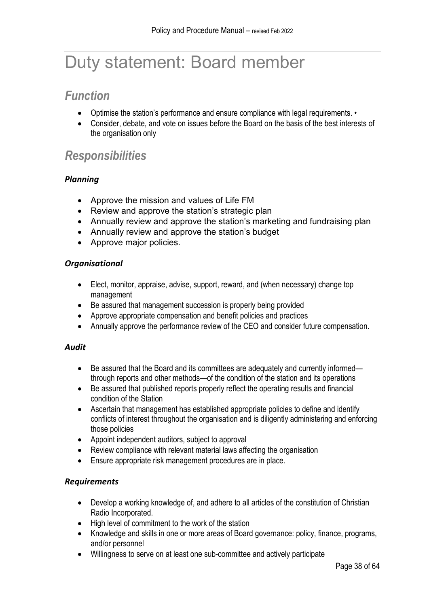# <span id="page-37-0"></span>Duty statement: Board member

### <span id="page-37-1"></span>*Function*

- Optimise the station's performance and ensure compliance with legal requirements. •
- Consider, debate, and vote on issues before the Board on the basis of the best interests of the organisation only

## <span id="page-37-2"></span>*Responsibilities*

#### *Planning*

- Approve the mission and values of Life FM
- Review and approve the station's strategic plan
- Annually review and approve the station's marketing and fundraising plan
- Annually review and approve the station's budget
- Approve major policies.

#### *Organisational*

- Elect, monitor, appraise, advise, support, reward, and (when necessary) change top management
- Be assured that management succession is properly being provided
- Approve appropriate compensation and benefit policies and practices
- Annually approve the performance review of the CEO and consider future compensation.

#### *Audit*

- Be assured that the Board and its committees are adequately and currently informed through reports and other methods—of the condition of the station and its operations
- Be assured that published reports properly reflect the operating results and financial condition of the Station
- Ascertain that management has established appropriate policies to define and identify conflicts of interest throughout the organisation and is diligently administering and enforcing those policies
- Appoint independent auditors, subject to approval
- Review compliance with relevant material laws affecting the organisation
- Ensure appropriate risk management procedures are in place.

#### *Requirements*

- Develop a working knowledge of, and adhere to all articles of the constitution of Christian Radio Incorporated.
- High level of commitment to the work of the station
- Knowledge and skills in one or more areas of Board governance: policy, finance, programs, and/or personnel
- Willingness to serve on at least one sub-committee and actively participate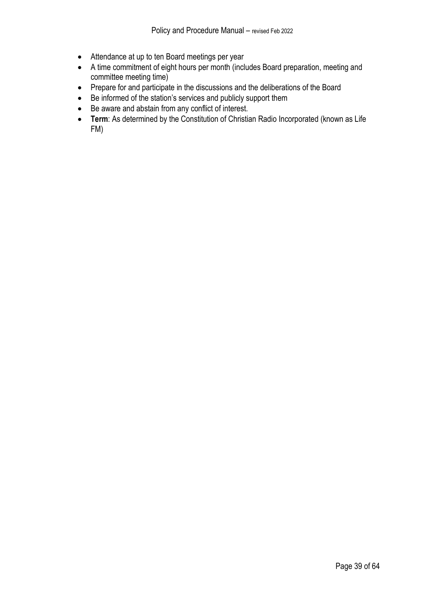- Attendance at up to ten Board meetings per year
- A time commitment of eight hours per month (includes Board preparation, meeting and committee meeting time)
- Prepare for and participate in the discussions and the deliberations of the Board
- Be informed of the station's services and publicly support them
- Be aware and abstain from any conflict of interest.
- **Term**: As determined by the Constitution of Christian Radio Incorporated (known as Life FM)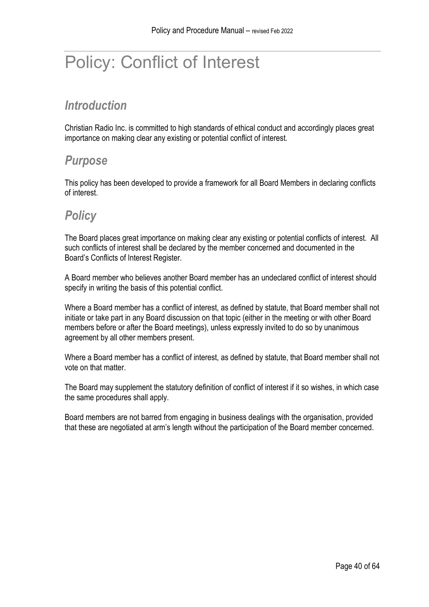# <span id="page-39-0"></span>Policy: Conflict of Interest

## <span id="page-39-1"></span>*Introduction*

Christian Radio Inc. is committed to high standards of ethical conduct and accordingly places great importance on making clear any existing or potential conflict of interest.

#### <span id="page-39-2"></span>*Purpose*

This policy has been developed to provide a framework for all Board Members in declaring conflicts of interest.

#### <span id="page-39-3"></span>*Policy*

The Board places great importance on making clear any existing or potential conflicts of interest. All such conflicts of interest shall be declared by the member concerned and documented in the Board's Conflicts of Interest Register.

A Board member who believes another Board member has an undeclared conflict of interest should specify in writing the basis of this potential conflict.

Where a Board member has a conflict of interest, as defined by statute, that Board member shall not initiate or take part in any Board discussion on that topic (either in the meeting or with other Board members before or after the Board meetings), unless expressly invited to do so by unanimous agreement by all other members present.

Where a Board member has a conflict of interest, as defined by statute, that Board member shall not vote on that matter.

The Board may supplement the statutory definition of conflict of interest if it so wishes, in which case the same procedures shall apply.

Board members are not barred from engaging in business dealings with the organisation, provided that these are negotiated at arm's length without the participation of the Board member concerned.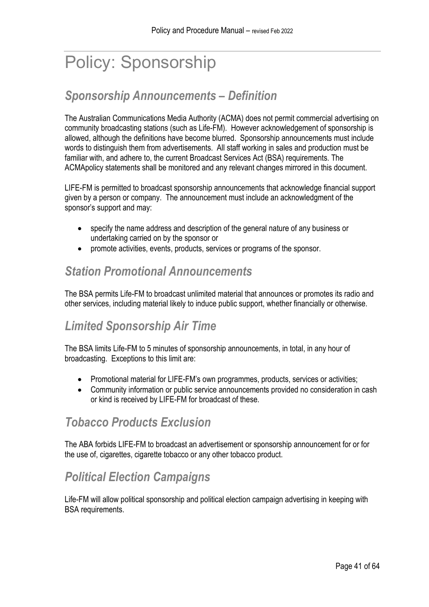# <span id="page-40-0"></span>Policy: Sponsorship

## <span id="page-40-1"></span>*Sponsorship Announcements – Definition*

The Australian Communications Media Authority (ACMA) does not permit commercial advertising on community broadcasting stations (such as Life-FM). However acknowledgement of sponsorship is allowed, although the definitions have become blurred. Sponsorship announcements must include words to distinguish them from advertisements. All staff working in sales and production must be familiar with, and adhere to, the current Broadcast Services Act (BSA) requirements. The ACMApolicy statements shall be monitored and any relevant changes mirrored in this document.

LIFE-FM is permitted to broadcast sponsorship announcements that acknowledge financial support given by a person or company. The announcement must include an acknowledgment of the sponsor's support and may:

- specify the name address and description of the general nature of any business or undertaking carried on by the sponsor or
- promote activities, events, products, services or programs of the sponsor.

## <span id="page-40-2"></span>*Station Promotional Announcements*

The BSA permits Life-FM to broadcast unlimited material that announces or promotes its radio and other services, including material likely to induce public support, whether financially or otherwise.

## <span id="page-40-3"></span>*Limited Sponsorship Air Time*

The BSA limits Life-FM to 5 minutes of sponsorship announcements, in total, in any hour of broadcasting. Exceptions to this limit are:

- Promotional material for LIFE-FM's own programmes, products, services or activities;
- Community information or public service announcements provided no consideration in cash or kind is received by LIFE-FM for broadcast of these.

## <span id="page-40-4"></span>*Tobacco Products Exclusion*

The ABA forbids LIFE-FM to broadcast an advertisement or sponsorship announcement for or for the use of, cigarettes, cigarette tobacco or any other tobacco product.

# <span id="page-40-5"></span>*Political Election Campaigns*

Life-FM will allow political sponsorship and political election campaign advertising in keeping with BSA requirements.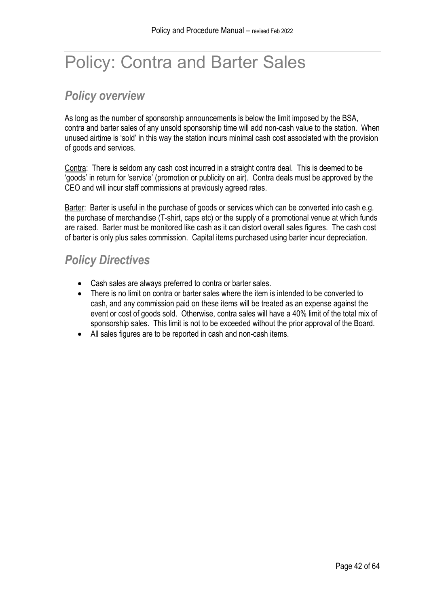# <span id="page-41-0"></span>Policy: Contra and Barter Sales

## <span id="page-41-1"></span>*Policy overview*

As long as the number of sponsorship announcements is below the limit imposed by the BSA, contra and barter sales of any unsold sponsorship time will add non-cash value to the station. When unused airtime is 'sold' in this way the station incurs minimal cash cost associated with the provision of goods and services.

Contra: There is seldom any cash cost incurred in a straight contra deal. This is deemed to be 'goods' in return for 'service' (promotion or publicity on air). Contra deals must be approved by the CEO and will incur staff commissions at previously agreed rates.

Barter: Barter is useful in the purchase of goods or services which can be converted into cash e.g. the purchase of merchandise (T-shirt, caps etc) or the supply of a promotional venue at which funds are raised. Barter must be monitored like cash as it can distort overall sales figures. The cash cost of barter is only plus sales commission. Capital items purchased using barter incur depreciation.

## <span id="page-41-2"></span>*Policy Directives*

- Cash sales are always preferred to contra or barter sales.
- There is no limit on contra or barter sales where the item is intended to be converted to cash, and any commission paid on these items will be treated as an expense against the event or cost of goods sold. Otherwise, contra sales will have a 40% limit of the total mix of sponsorship sales. This limit is not to be exceeded without the prior approval of the Board.
- All sales figures are to be reported in cash and non-cash items.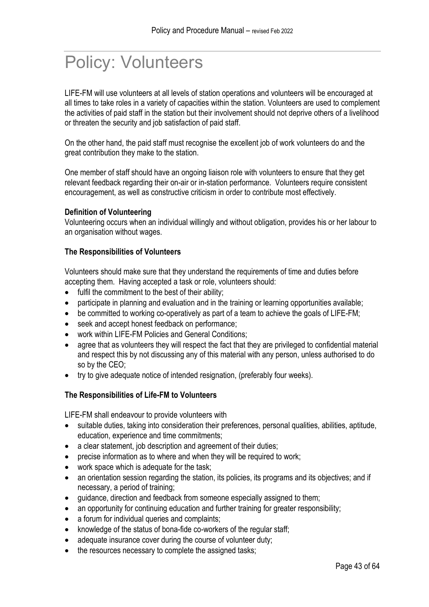# <span id="page-42-0"></span>Policy: Volunteers

LIFE-FM will use volunteers at all levels of station operations and volunteers will be encouraged at all times to take roles in a variety of capacities within the station. Volunteers are used to complement the activities of paid staff in the station but their involvement should not deprive others of a livelihood or threaten the security and job satisfaction of paid staff.

On the other hand, the paid staff must recognise the excellent job of work volunteers do and the great contribution they make to the station.

One member of staff should have an ongoing liaison role with volunteers to ensure that they get relevant feedback regarding their on-air or in-station performance. Volunteers require consistent encouragement, as well as constructive criticism in order to contribute most effectively.

#### **Definition of Volunteering**

Volunteering occurs when an individual willingly and without obligation, provides his or her labour to an organisation without wages.

#### **The Responsibilities of Volunteers**

Volunteers should make sure that they understand the requirements of time and duties before accepting them. Having accepted a task or role, volunteers should:

- fulfil the commitment to the best of their ability;
- participate in planning and evaluation and in the training or learning opportunities available;
- be committed to working co-operatively as part of a team to achieve the goals of LIFE-FM;
- seek and accept honest feedback on performance;
- work within LIFE-FM Policies and General Conditions;
- agree that as volunteers they will respect the fact that they are privileged to confidential material and respect this by not discussing any of this material with any person, unless authorised to do so by the CEO;
- try to give adequate notice of intended resignation, (preferably four weeks).

#### **The Responsibilities of Life-FM to Volunteers**

LIFE-FM shall endeavour to provide volunteers with

- suitable duties, taking into consideration their preferences, personal qualities, abilities, aptitude, education, experience and time commitments;
- a clear statement, job description and agreement of their duties;
- precise information as to where and when they will be required to work;
- work space which is adequate for the task:
- an orientation session regarding the station, its policies, its programs and its objectives; and if necessary, a period of training;
- guidance, direction and feedback from someone especially assigned to them;
- an opportunity for continuing education and further training for greater responsibility;
- a forum for individual queries and complaints:
- knowledge of the status of bona-fide co-workers of the regular staff;
- adequate insurance cover during the course of volunteer duty;
- the resources necessary to complete the assigned tasks;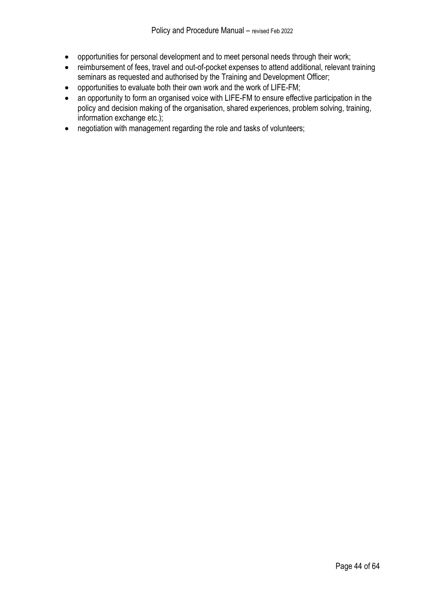- opportunities for personal development and to meet personal needs through their work;
- reimbursement of fees, travel and out-of-pocket expenses to attend additional, relevant training seminars as requested and authorised by the Training and Development Officer;
- opportunities to evaluate both their own work and the work of LIFE-FM;
- an opportunity to form an organised voice with LIFE-FM to ensure effective participation in the policy and decision making of the organisation, shared experiences, problem solving, training, information exchange etc.);
- negotiation with management regarding the role and tasks of volunteers;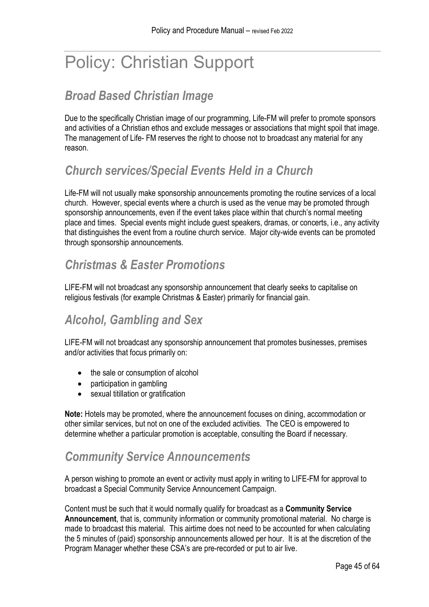# <span id="page-44-0"></span>Policy: Christian Support

# <span id="page-44-1"></span>*Broad Based Christian Image*

Due to the specifically Christian image of our programming, Life-FM will prefer to promote sponsors and activities of a Christian ethos and exclude messages or associations that might spoil that image. The management of Life- FM reserves the right to choose not to broadcast any material for any reason.

# <span id="page-44-2"></span>*Church services/Special Events Held in a Church*

Life-FM will not usually make sponsorship announcements promoting the routine services of a local church. However, special events where a church is used as the venue may be promoted through sponsorship announcements, even if the event takes place within that church's normal meeting place and times. Special events might include guest speakers, dramas, or concerts, i.e., any activity that distinguishes the event from a routine church service. Major city-wide events can be promoted through sponsorship announcements.

## <span id="page-44-3"></span>*Christmas & Easter Promotions*

LIFE-FM will not broadcast any sponsorship announcement that clearly seeks to capitalise on religious festivals (for example Christmas & Easter) primarily for financial gain.

## <span id="page-44-4"></span>*Alcohol, Gambling and Sex*

LIFE-FM will not broadcast any sponsorship announcement that promotes businesses, premises and/or activities that focus primarily on:

- the sale or consumption of alcohol
- participation in gambling
- sexual titillation or gratification

**Note:** Hotels may be promoted, where the announcement focuses on dining, accommodation or other similar services, but not on one of the excluded activities. The CEO is empowered to determine whether a particular promotion is acceptable, consulting the Board if necessary.

## <span id="page-44-5"></span>*Community Service Announcements*

A person wishing to promote an event or activity must apply in writing to LIFE-FM for approval to broadcast a Special Community Service Announcement Campaign.

Content must be such that it would normally qualify for broadcast as a **Community Service Announcement**, that is, community information or community promotional material. No charge is made to broadcast this material. This airtime does not need to be accounted for when calculating the 5 minutes of (paid) sponsorship announcements allowed per hour. It is at the discretion of the Program Manager whether these CSA's are pre-recorded or put to air live.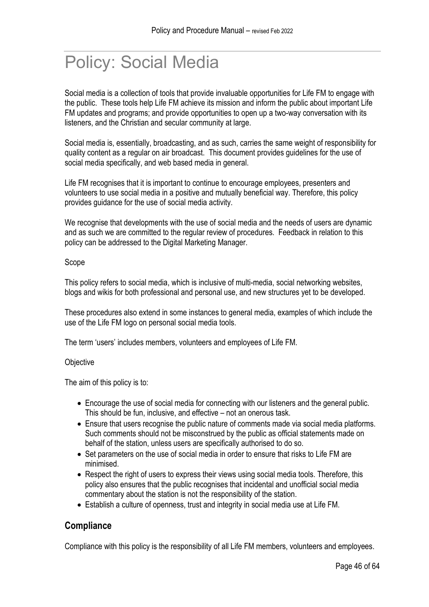# <span id="page-45-0"></span>Policy: Social Media

Social media is a collection of tools that provide invaluable opportunities for Life FM to engage with the public. These tools help Life FM achieve its mission and inform the public about important Life FM updates and programs; and provide opportunities to open up a two-way conversation with its listeners, and the Christian and secular community at large.

Social media is, essentially, broadcasting, and as such, carries the same weight of responsibility for quality content as a regular on air broadcast. This document provides guidelines for the use of social media specifically, and web based media in general.

Life FM recognises that it is important to continue to encourage employees, presenters and volunteers to use social media in a positive and mutually beneficial way. Therefore, this policy provides guidance for the use of social media activity.

We recognise that developments with the use of social media and the needs of users are dynamic and as such we are committed to the regular review of procedures. Feedback in relation to this policy can be addressed to the Digital Marketing Manager.

#### Scope

This policy refers to social media, which is inclusive of multi-media, social networking websites, blogs and wikis for both professional and personal use, and new structures yet to be developed.

These procedures also extend in some instances to general media, examples of which include the use of the Life FM logo on personal social media tools.

The term 'users' includes members, volunteers and employees of Life FM.

#### **Objective**

The aim of this policy is to:

- Encourage the use of social media for connecting with our listeners and the general public. This should be fun, inclusive, and effective – not an onerous task.
- Ensure that users recognise the public nature of comments made via social media platforms. Such comments should not be misconstrued by the public as official statements made on behalf of the station, unless users are specifically authorised to do so.
- Set parameters on the use of social media in order to ensure that risks to Life FM are minimised.
- Respect the right of users to express their views using social media tools. Therefore, this policy also ensures that the public recognises that incidental and unofficial social media commentary about the station is not the responsibility of the station.
- Establish a culture of openness, trust and integrity in social media use at Life FM.

#### **Compliance**

Compliance with this policy is the responsibility of all Life FM members, volunteers and employees.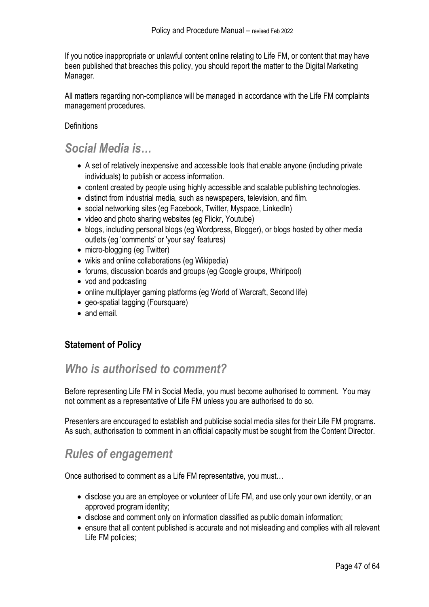If you notice inappropriate or unlawful content online relating to Life FM, or content that may have been published that breaches this policy, you should report the matter to the Digital Marketing Manager.

All matters regarding non-compliance will be managed in accordance with the Life FM complaints management procedures.

#### **Definitions**

#### <span id="page-46-0"></span>*Social Media is…*

- A set of relatively inexpensive and accessible tools that enable anyone (including private individuals) to publish or access information.
- content created by people using highly accessible and scalable publishing technologies.
- distinct from industrial media, such as newspapers, television, and film.
- social networking sites (eg Facebook, Twitter, Myspace, LinkedIn)
- video and photo sharing websites (eg Flickr, Youtube)
- blogs, including personal blogs (eg Wordpress, Blogger), or blogs hosted by other media outlets (eg 'comments' or 'your say' features)
- micro-blogging (eg Twitter)
- wikis and online collaborations (eq Wikipedia)
- forums, discussion boards and groups (eg Google groups, Whirlpool)
- vod and podcasting
- online multiplayer gaming platforms (eg World of Warcraft, Second life)
- geo-spatial tagging (Foursquare)
- and email.

#### **Statement of Policy**

### <span id="page-46-1"></span>*Who is authorised to comment?*

Before representing Life FM in Social Media, you must become authorised to comment. You may not comment as a representative of Life FM unless you are authorised to do so.

Presenters are encouraged to establish and publicise social media sites for their Life FM programs. As such, authorisation to comment in an official capacity must be sought from the Content Director.

## <span id="page-46-2"></span>*Rules of engagement*

Once authorised to comment as a Life FM representative, you must…

- disclose you are an employee or volunteer of Life FM, and use only your own identity, or an approved program identity;
- disclose and comment only on information classified as public domain information;
- ensure that all content published is accurate and not misleading and complies with all relevant Life FM policies;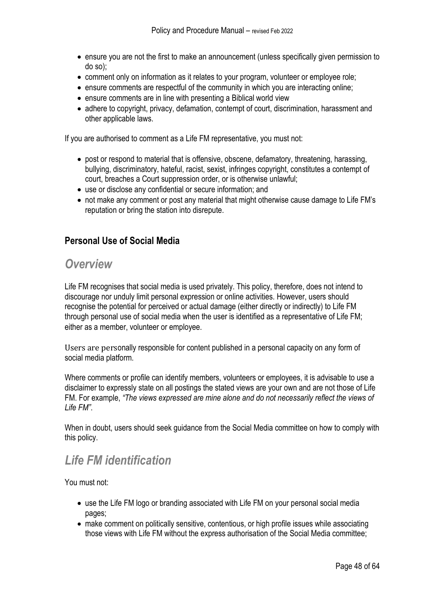- ensure you are not the first to make an announcement (unless specifically given permission to do so);
- comment only on information as it relates to your program, volunteer or employee role;
- ensure comments are respectful of the community in which you are interacting online;
- ensure comments are in line with presenting a Biblical world view
- adhere to copyright, privacy, defamation, contempt of court, discrimination, harassment and other applicable laws.

If you are authorised to comment as a Life FM representative, you must not:

- post or respond to material that is offensive, obscene, defamatory, threatening, harassing, bullying, discriminatory, hateful, racist, sexist, infringes copyright, constitutes a contempt of court, breaches a Court suppression order, or is otherwise unlawful;
- use or disclose any confidential or secure information; and
- not make any comment or post any material that might otherwise cause damage to Life FM's reputation or bring the station into disrepute.

#### **Personal Use of Social Media**

#### <span id="page-47-0"></span>*Overview*

Life FM recognises that social media is used privately. This policy, therefore, does not intend to discourage nor unduly limit personal expression or online activities. However, users should recognise the potential for perceived or actual damage (either directly or indirectly) to Life FM through personal use of social media when the user is identified as a representative of Life FM; either as a member, volunteer or employee.

Users are personally responsible for content published in a personal capacity on any form of social media platform.

Where comments or profile can identify members, volunteers or employees, it is advisable to use a disclaimer to expressly state on all postings the stated views are your own and are not those of Life FM. For example, *"The views expressed are mine alone and do not necessarily reflect the views of Life FM"*.

When in doubt, users should seek guidance from the Social Media committee on how to comply with this policy.

### <span id="page-47-1"></span>*Life FM identification*

You must not:

- use the Life FM logo or branding associated with Life FM on your personal social media pages;
- make comment on politically sensitive, contentious, or high profile issues while associating those views with Life FM without the express authorisation of the Social Media committee;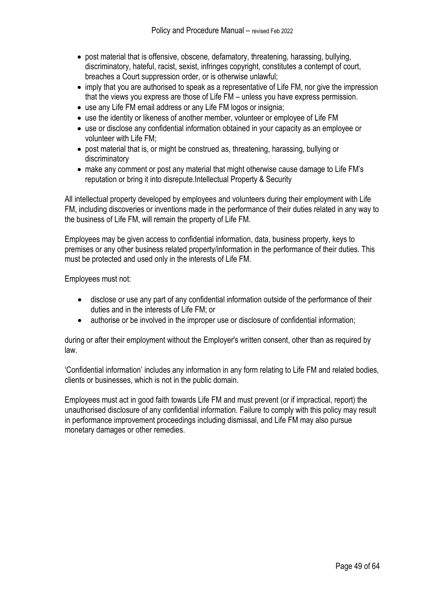- post material that is offensive, obscene, defamatory, threatening, harassing, bullying, discriminatory, hateful, racist, sexist, infringes copyright, constitutes a contempt of court, breaches a Court suppression order, or is otherwise unlawful;
- imply that you are authorised to speak as a representative of Life FM, nor give the impression that the views you express are those of Life FM – unless you have express permission.
- use any Life FM email address or any Life FM logos or insignia;
- use the identity or likeness of another member, volunteer or employee of Life FM
- use or disclose any confidential information obtained in your capacity as an employee or volunteer with Life FM;
- post material that is, or might be construed as, threatening, harassing, bullying or discriminatory
- make any comment or post any material that might otherwise cause damage to Life FM's reputation or bring it into disrepute.Intellectual Property & Security

All intellectual property developed by employees and volunteers during their employment with Life FM, including discoveries or inventions made in the performance of their duties related in any way to the business of Life FM, will remain the property of Life FM.

Employees may be given access to confidential information, data, business property, keys to premises or any other business related property/information in the performance of their duties. This must be protected and used only in the interests of Life FM.

Employees must not:

- disclose or use any part of any confidential information outside of the performance of their duties and in the interests of Life FM; or
- authorise or be involved in the improper use or disclosure of confidential information;

during or after their employment without the Employer's written consent, other than as required by law.

'Confidential information' includes any information in any form relating to Life FM and related bodies, clients or businesses, which is not in the public domain.

Employees must act in good faith towards Life FM and must prevent (or if impractical, report) the unauthorised disclosure of any confidential information. Failure to comply with this policy may result in performance improvement proceedings including dismissal, and Life FM may also pursue monetary damages or other remedies.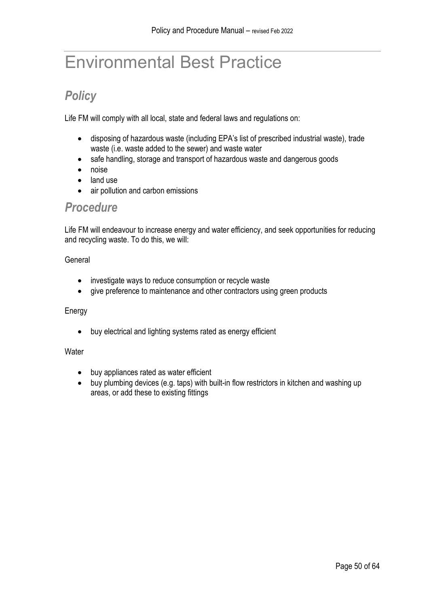# <span id="page-49-0"></span>Environmental Best Practice

# <span id="page-49-1"></span>*Policy*

Life FM will comply with all local, state and federal laws and regulations on:

- disposing of hazardous waste (including EPA's list of prescribed industrial waste), trade waste (i.e. waste added to the sewer) and waste water
- safe handling, storage and transport of hazardous waste and dangerous goods
- noise
- land use
- air pollution and carbon emissions

#### <span id="page-49-2"></span>*Procedure*

Life FM will endeavour to increase energy and water efficiency, and seek opportunities for reducing and recycling waste. To do this, we will:

#### General

- investigate ways to reduce consumption or recycle waste
- give preference to maintenance and other contractors using green products

#### Energy

• buy electrical and lighting systems rated as energy efficient

#### **Water**

- buy appliances rated as water efficient
- buy plumbing devices (e.g. taps) with built-in flow restrictors in kitchen and washing up areas, or add these to existing fittings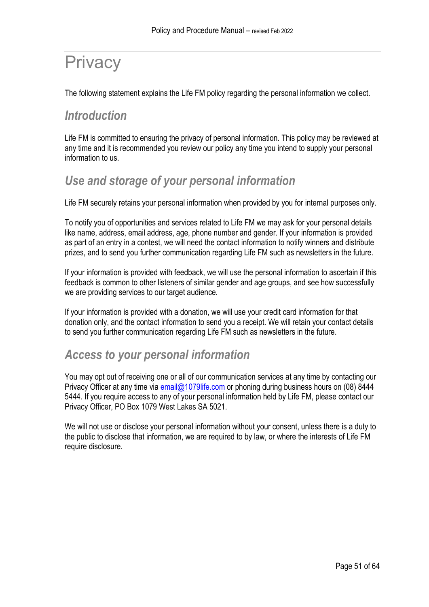# <span id="page-50-0"></span>**Privacy**

The following statement explains the Life FM policy regarding the personal information we collect.

### <span id="page-50-1"></span>*Introduction*

Life FM is committed to ensuring the privacy of personal information. This policy may be reviewed at any time and it is recommended you review our policy any time you intend to supply your personal information to us.

## <span id="page-50-2"></span>*Use and storage of your personal information*

Life FM securely retains your personal information when provided by you for internal purposes only.

To notify you of opportunities and services related to Life FM we may ask for your personal details like name, address, email address, age, phone number and gender. If your information is provided as part of an entry in a contest, we will need the contact information to notify winners and distribute prizes, and to send you further communication regarding Life FM such as newsletters in the future.

If your information is provided with feedback, we will use the personal information to ascertain if this feedback is common to other listeners of similar gender and age groups, and see how successfully we are providing services to our target audience.

If your information is provided with a donation, we will use your credit card information for that donation only, and the contact information to send you a receipt. We will retain your contact details to send you further communication regarding Life FM such as newsletters in the future.

## <span id="page-50-3"></span>*Access to your personal information*

You may opt out of receiving one or all of our communication services at any time by contacting our Privacy Officer at any time via [email@1079life.com](mailto:email@1079life.com) or phoning during business hours on (08) 8444 5444. If you require access to any of your personal information held by Life FM, please contact our Privacy Officer, PO Box 1079 West Lakes SA 5021.

We will not use or disclose your personal information without your consent, unless there is a duty to the public to disclose that information, we are required to by law, or where the interests of Life FM require disclosure.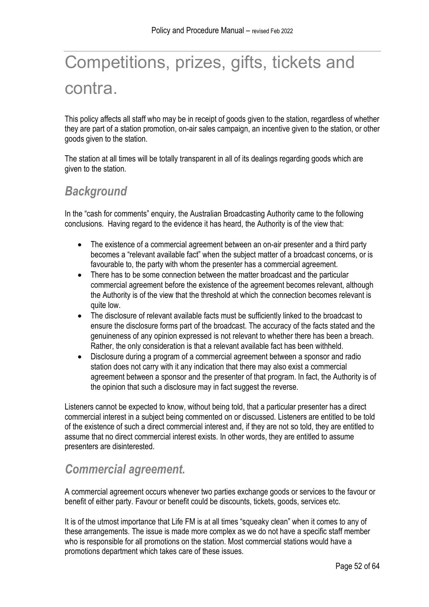# <span id="page-51-0"></span>Competitions, prizes, gifts, tickets and contra.

This policy affects all staff who may be in receipt of goods given to the station, regardless of whether they are part of a station promotion, on-air sales campaign, an incentive given to the station, or other goods given to the station.

The station at all times will be totally transparent in all of its dealings regarding goods which are given to the station.

## <span id="page-51-1"></span>*Background*

In the "cash for comments" enquiry, the Australian Broadcasting Authority came to the following conclusions. Having regard to the evidence it has heard, the Authority is of the view that:

- The existence of a commercial agreement between an on-air presenter and a third party becomes a "relevant available fact" when the subject matter of a broadcast concerns, or is favourable to, the party with whom the presenter has a commercial agreement.
- There has to be some connection between the matter broadcast and the particular commercial agreement before the existence of the agreement becomes relevant, although the Authority is of the view that the threshold at which the connection becomes relevant is quite low.
- The disclosure of relevant available facts must be sufficiently linked to the broadcast to ensure the disclosure forms part of the broadcast. The accuracy of the facts stated and the genuineness of any opinion expressed is not relevant to whether there has been a breach. Rather, the only consideration is that a relevant available fact has been withheld.
- Disclosure during a program of a commercial agreement between a sponsor and radio station does not carry with it any indication that there may also exist a commercial agreement between a sponsor and the presenter of that program. In fact, the Authority is of the opinion that such a disclosure may in fact suggest the reverse.

Listeners cannot be expected to know, without being told, that a particular presenter has a direct commercial interest in a subject being commented on or discussed. Listeners are entitled to be told of the existence of such a direct commercial interest and, if they are not so told, they are entitled to assume that no direct commercial interest exists. In other words, they are entitled to assume presenters are disinterested.

## <span id="page-51-2"></span>*Commercial agreement.*

A commercial agreement occurs whenever two parties exchange goods or services to the favour or benefit of either party. Favour or benefit could be discounts, tickets, goods, services etc.

It is of the utmost importance that Life FM is at all times "squeaky clean" when it comes to any of these arrangements. The issue is made more complex as we do not have a specific staff member who is responsible for all promotions on the station. Most commercial stations would have a promotions department which takes care of these issues.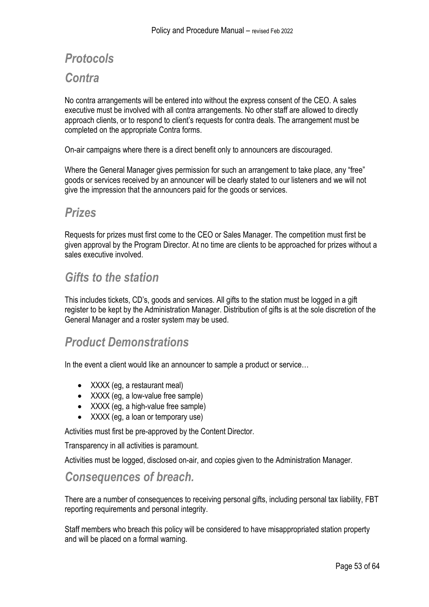# <span id="page-52-1"></span><span id="page-52-0"></span>*Protocols Contra*

No contra arrangements will be entered into without the express consent of the CEO. A sales executive must be involved with all contra arrangements. No other staff are allowed to directly approach clients, or to respond to client's requests for contra deals. The arrangement must be completed on the appropriate Contra forms.

On-air campaigns where there is a direct benefit only to announcers are discouraged.

Where the General Manager gives permission for such an arrangement to take place, any "free" goods or services received by an announcer will be clearly stated to our listeners and we will not give the impression that the announcers paid for the goods or services.

#### <span id="page-52-2"></span>*Prizes*

Requests for prizes must first come to the CEO or Sales Manager. The competition must first be given approval by the Program Director. At no time are clients to be approached for prizes without a sales executive involved.

#### <span id="page-52-3"></span>*Gifts to the station*

This includes tickets, CD's, goods and services. All gifts to the station must be logged in a gift register to be kept by the Administration Manager. Distribution of gifts is at the sole discretion of the General Manager and a roster system may be used.

### <span id="page-52-4"></span>*Product Demonstrations*

In the event a client would like an announcer to sample a product or service...

- XXXX (eg, a restaurant meal)
- XXXX (eg, a low-value free sample)
- XXXX (eq. a high-value free sample)
- XXXX (eg, a loan or temporary use)

Activities must first be pre-approved by the Content Director.

Transparency in all activities is paramount.

Activities must be logged, disclosed on-air, and copies given to the Administration Manager.

#### <span id="page-52-5"></span>*Consequences of breach.*

There are a number of consequences to receiving personal gifts, including personal tax liability, FBT reporting requirements and personal integrity.

Staff members who breach this policy will be considered to have misappropriated station property and will be placed on a formal warning.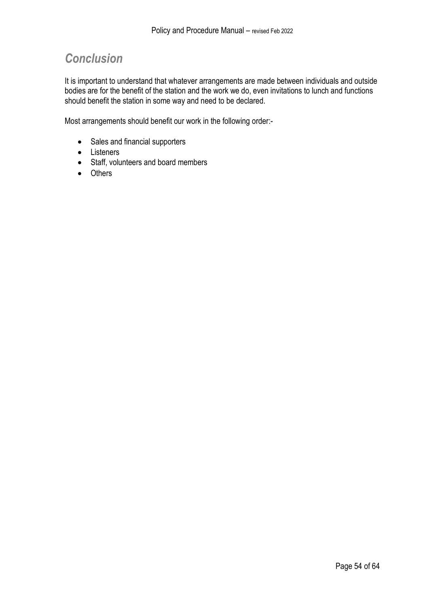## <span id="page-53-0"></span>*Conclusion*

It is important to understand that whatever arrangements are made between individuals and outside bodies are for the benefit of the station and the work we do, even invitations to lunch and functions should benefit the station in some way and need to be declared.

Most arrangements should benefit our work in the following order:-

- Sales and financial supporters
- Listeners
- Staff, volunteers and board members
- Others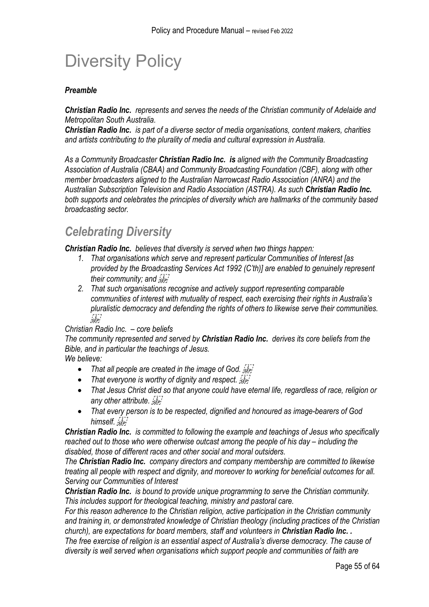# <span id="page-54-0"></span>Diversity Policy

#### *Preamble*

*Christian Radio Inc. represents and serves the needs of the Christian community of Adelaide and Metropolitan South Australia.* 

*Christian Radio Inc. is part of a diverse sector of media organisations, content makers, charities and artists contributing to the plurality of media and cultural expression in Australia.* 

*As a Community Broadcaster Christian Radio Inc. is aligned with the Community Broadcasting Association of Australia (CBAA) and Community Broadcasting Foundation (CBF), along with other member broadcasters aligned to the Australian Narrowcast Radio Association (ANRA) and the Australian Subscription Television and Radio Association (ASTRA). As such Christian Radio Inc. both supports and celebrates the principles of diversity which are hallmarks of the community based broadcasting sector.* 

### <span id="page-54-1"></span>*Celebrating Diversity*

*Christian Radio Inc. believes that diversity is served when two things happen:* 

- *1. That organisations which serve and represent particular Communities of Interest [as provided by the Broadcasting Services Act 1992 (C'th)] are enabled to genuinely represent their community; and*
- *2. That such organisations recognise and actively support representing comparable communities of interest with mutuality of respect, each exercising their rights in Australia's pluralistic democracy and defending the rights of others to likewise serve their communities.*  י בן<br>'SEP!

#### *Christian Radio Inc. – core beliefs*

*The community represented and served by Christian Radio Inc. derives its core beliefs from the Bible, and in particular the teachings of Jesus.* 

*We believe:* 

- *That all people are created in the image of God.*
- *That everyone is worthy of dignity and respect.*  $\sqrt{I}$
- *That Jesus Christ died so that anyone could have eternal life, regardless of race, religion or any other attribute.*
- *That every person is to be respected, dignified and honoured as image-bearers of God*  himself. *sep!*

*Christian Radio Inc. is committed to following the example and teachings of Jesus who specifically reached out to those who were otherwise outcast among the people of his day – including the disabled, those of different races and other social and moral outsiders.* 

*The Christian Radio Inc. company directors and company membership are committed to likewise treating all people with respect and dignity, and moreover to working for beneficial outcomes for all. Serving our Communities of Interest* 

*Christian Radio Inc. is bound to provide unique programming to serve the Christian community. This includes support for theological teaching, ministry and pastoral care.* 

*For this reason adherence to the Christian religion, active participation in the Christian community and training in, or demonstrated knowledge of Christian theology (including practices of the Christian church), are expectations for board members, staff and volunteers in Christian Radio Inc. . The free exercise of religion is an essential aspect of Australia's diverse democracy. The cause of diversity is well served when organisations which support people and communities of faith are*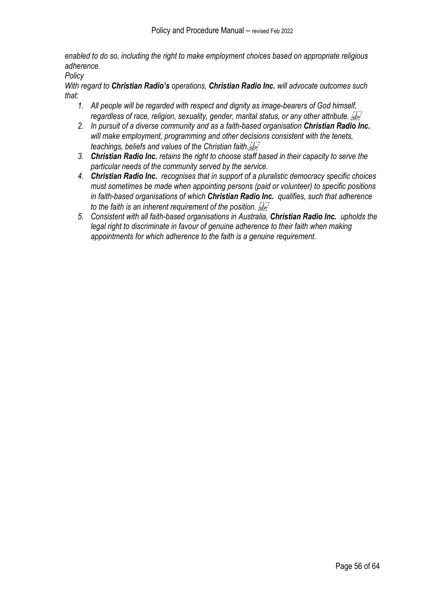*enabled to do so, including the right to make employment choices based on appropriate religious adherence.* 

*Policy* 

*With regard to Christian Radio's operations, Christian Radio Inc. will advocate outcomes such that:* 

- *1. All people will be regarded with respect and dignity as image-bearers of God himself, regardless of race, religion, sexuality, gender, marital status, or any other attribute.*
- *2. In pursuit of a diverse community and as a faith-based organisation Christian Radio Inc. will make employment, programming and other decisions consistent with the tenets, teachings, beliefs and values of the Christian faith.*
- *3. Christian Radio Inc. retains the right to choose staff based in their capacity to serve the particular needs of the community served by the service.*
- *4. Christian Radio Inc. recognises that in support of a pluralistic democracy specific choices must sometimes be made when appointing persons (paid or volunteer) to specific positions in faith-based organisations of which Christian Radio Inc. qualifies, such that adherence to the faith is an inherent requirement of the position.*
- *5. Consistent with all faith-based organisations in Australia, Christian Radio Inc. upholds the legal right to discriminate in favour of genuine adherence to their faith when making appointments for which adherence to the faith is a genuine requirement.*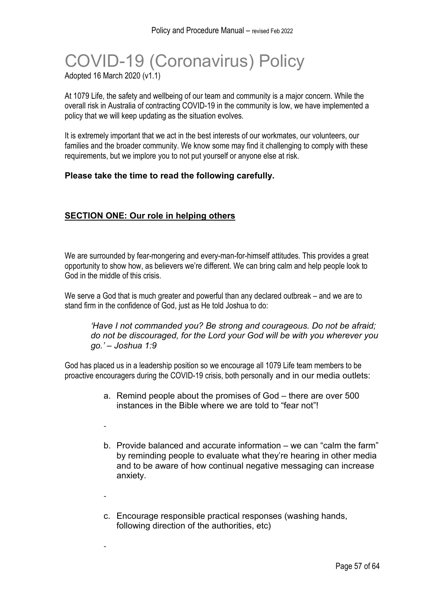## COVID-19 (Coronavirus) Policy Adopted 16 March 2020 (v1.1)

At 1079 Life, the safety and wellbeing of our team and community is a major concern. While the overall risk in Australia of contracting COVID-19 in the community is low, we have implemented a policy that we will keep updating as the situation evolves.

It is extremely important that we act in the best interests of our workmates, our volunteers, our families and the broader community. We know some may find it challenging to comply with these requirements, but we implore you to not put yourself or anyone else at risk.

#### **Please take the time to read the following carefully.**

#### **SECTION ONE: Our role in helping others**

-

-

-

We are surrounded by fear-mongering and every-man-for-himself attitudes. This provides a great opportunity to show how, as believers we're different. We can bring calm and help people look to God in the middle of this crisis.

We serve a God that is much greater and powerful than any declared outbreak – and we are to stand firm in the confidence of God, just as He told Joshua to do:

*'Have I not commanded you? Be strong and courageous. Do not be afraid; do not be discouraged, for the Lord your God will be with you wherever you go.' – Joshua 1:9*

God has placed us in a leadership position so we encourage all 1079 Life team members to be proactive encouragers during the COVID-19 crisis, both personally and in our media outlets:

- a. Remind people about the promises of God there are over 500 instances in the Bible where we are told to "fear not"!
- b. Provide balanced and accurate information we can "calm the farm" by reminding people to evaluate what they're hearing in other media and to be aware of how continual negative messaging can increase anxiety.
- c. Encourage responsible practical responses (washing hands, following direction of the authorities, etc)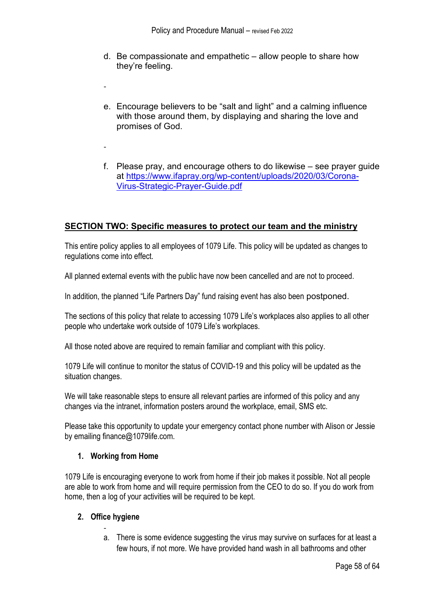- d. Be compassionate and empathetic allow people to share how they're feeling.
- e. Encourage believers to be "salt and light" and a calming influence with those around them, by displaying and sharing the love and promises of God.
- f. Please pray, and encourage others to do likewise see prayer guide at [https://www.ifapray.org/wp-content/uploads/2020/03/Corona-](https://www.ifapray.org/wp-content/uploads/2020/03/Corona-Virus-Strategic-Prayer-Guide.pdf)[Virus-Strategic-Prayer-Guide.pdf](https://www.ifapray.org/wp-content/uploads/2020/03/Corona-Virus-Strategic-Prayer-Guide.pdf)

#### **SECTION TWO: Specific measures to protect our team and the ministry**

This entire policy applies to all employees of 1079 Life. This policy will be updated as changes to regulations come into effect.

All planned external events with the public have now been cancelled and are not to proceed.

In addition, the planned "Life Partners Day" fund raising event has also been postponed.

The sections of this policy that relate to accessing 1079 Life's workplaces also applies to all other people who undertake work outside of 1079 Life's workplaces.

All those noted above are required to remain familiar and compliant with this policy.

1079 Life will continue to monitor the status of COVID-19 and this policy will be updated as the situation changes.

We will take reasonable steps to ensure all relevant parties are informed of this policy and any changes via the intranet, information posters around the workplace, email, SMS etc.

Please take this opportunity to update your emergency contact phone number with Alison or Jessie by emailing finance@1079life.com.

#### **1. Working from Home**

-

-

1079 Life is encouraging everyone to work from home if their job makes it possible. Not all people are able to work from home and will require permission from the CEO to do so. If you do work from home, then a log of your activities will be required to be kept.

#### **2. Office hygiene**

 a. There is some evidence suggesting the virus may survive on surfaces for at least a few hours, if not more. We have provided hand wash in all bathrooms and other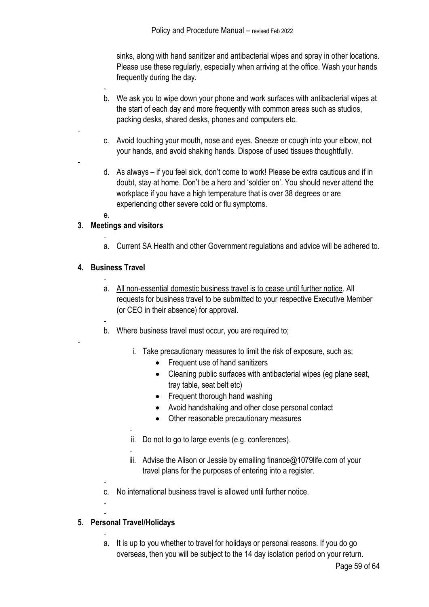sinks, along with hand sanitizer and antibacterial wipes and spray in other locations. Please use these regularly, especially when arriving at the office. Wash your hands frequently during the day.

- b. We ask you to wipe down your phone and work surfaces with antibacterial wipes at the start of each day and more frequently with common areas such as studios, packing desks, shared desks, phones and computers etc.
- c. Avoid touching your mouth, nose and eyes. Sneeze or cough into your elbow, not your hands, and avoid shaking hands. Dispose of used tissues thoughtfully.
- d. As always if you feel sick, don't come to work! Please be extra cautious and if in doubt, stay at home. Don't be a hero and 'soldier on'. You should never attend the workplace if you have a high temperature that is over 38 degrees or are experiencing other severe cold or flu symptoms.

$$
\cdot e.
$$

-

-

-

#### **3. Meetings and visitors**

 a. Current SA Health and other Government regulations and advice will be adhered to.

#### **4. Business Travel**

- a. All non-essential domestic business travel is to cease until further notice. All requests for business travel to be submitted to your respective Executive Member (or CEO in their absence) for approval.
- b. Where business travel must occur, you are required to;
	- i. Take precautionary measures to limit the risk of exposure, such as;
		- Frequent use of hand sanitizers
		- Cleaning public surfaces with antibacterial wipes (eg plane seat, tray table, seat belt etc)
		- Frequent thorough hand washing
		- Avoid handshaking and other close personal contact
		- Other reasonable precautionary measures
	- ii. Do not to go to large events (e.g. conferences).
	- -
	- iii. Advise the Alison or Jessie by emailing finance@1079life.com of your travel plans for the purposes of entering into a register.
- c. No international business travel is allowed until further notice.

#### - **5. Personal Travel/Holidays**

-

 a. It is up to you whether to travel for holidays or personal reasons. If you do go overseas, then you will be subject to the 14 day isolation period on your return.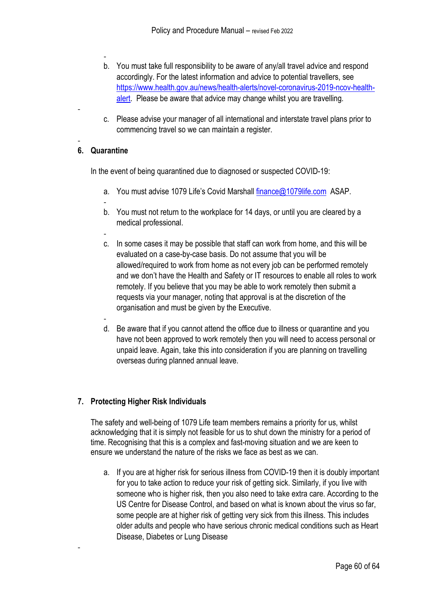- b. You must take full responsibility to be aware of any/all travel advice and respond accordingly. For the latest information and advice to potential travellers, see [https://www.health.gov.au/news/health-alerts/novel-coronavirus-2019-ncov-health](https://www.health.gov.au/news/health-alerts/novel-coronavirus-2019-ncov-health-alert)[alert.](https://www.health.gov.au/news/health-alerts/novel-coronavirus-2019-ncov-health-alert) Please be aware that advice may change whilst you are travelling.
- c. Please advise your manager of all international and interstate travel plans prior to commencing travel so we can maintain a register.

#### - **6. Quarantine**

-

-

In the event of being quarantined due to diagnosed or suspected COVID-19:

- a. You must advise 1079 Life's Covid Marshall [finance@1079life.com](mailto:finance@1079life.com) ASAP.
- b. You must not return to the workplace for 14 days, or until you are cleared by a medical professional.
- c. In some cases it may be possible that staff can work from home, and this will be evaluated on a case-by-case basis. Do not assume that you will be allowed/required to work from home as not every job can be performed remotely and we don't have the Health and Safety or IT resources to enable all roles to work remotely. If you believe that you may be able to work remotely then submit a requests via your manager, noting that approval is at the discretion of the organisation and must be given by the Executive.
- d. Be aware that if you cannot attend the office due to illness or quarantine and you have not been approved to work remotely then you will need to access personal or unpaid leave. Again, take this into consideration if you are planning on travelling overseas during planned annual leave.

#### **7. Protecting Higher Risk Individuals**

The safety and well-being of 1079 Life team members remains a priority for us, whilst acknowledging that it is simply not feasible for us to shut down the ministry for a period of time. Recognising that this is a complex and fast-moving situation and we are keen to ensure we understand the nature of the risks we face as best as we can.

a. If you are at higher risk for serious illness from COVID-19 then it is doubly important for you to take action to reduce your risk of getting sick. Similarly, if you live with someone who is higher risk, then you also need to take extra care. According to the US Centre for Disease Control, and based on what is known about the virus so far, some people are at higher risk of getting very sick from this illness. This includes older adults and people who have serious chronic medical conditions such as Heart Disease, Diabetes or Lung Disease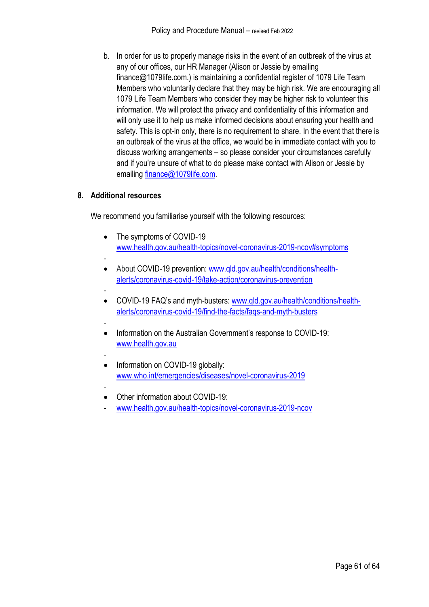b. In order for us to properly manage risks in the event of an outbreak of the virus at any of our offices, our HR Manager (Alison or Jessie by emailing finance@1079life.com.) is maintaining a confidential register of 1079 Life Team Members who voluntarily declare that they may be high risk. We are encouraging all 1079 Life Team Members who consider they may be higher risk to volunteer this information. We will protect the privacy and confidentiality of this information and will only use it to help us make informed decisions about ensuring your health and safety. This is opt-in only, there is no requirement to share. In the event that there is an outbreak of the virus at the office, we would be in immediate contact with you to discuss working arrangements – so please consider your circumstances carefully and if you're unsure of what to do please make contact with Alison or Jessie by emailing [finance@1079life.com.](mailto:finance@1079life.com)

#### **8. Additional resources**

We recommend you familiarise yourself with the following resources:

- The symptoms of COVID-19 [www.health.gov.au/health-topics/novel-coronavirus-2019-ncov#symptoms](http://www.health.gov.au/health-topics/novel-coronavirus-2019-ncov#symptoms)
- • About COVID-19 prevention: [www.qld.gov.au/health/conditions/health](http://www.qld.gov.au/health/conditions/health-alerts/coronavirus-covid-19/take-action/coronavirus-prevention)[alerts/coronavirus-covid-19/take-action/coronavirus-prevention](http://www.qld.gov.au/health/conditions/health-alerts/coronavirus-covid-19/take-action/coronavirus-prevention)
- • COVID-19 FAQ's and myth-busters: [www.qld.gov.au/health/conditions/health](http://www.qld.gov.au/health/conditions/health-alerts/coronavirus-covid-19/find-the-facts/faqs-and-myth-busters)[alerts/coronavirus-covid-19/find-the-facts/faqs-and-myth-busters](http://www.qld.gov.au/health/conditions/health-alerts/coronavirus-covid-19/find-the-facts/faqs-and-myth-busters)
- • Information on the Australian Government's response to COVID-19: [www.health.gov.au](http://www.health.gov.au/)
- • Information on COVID-19 globally: [www.who.int/emergencies/diseases/novel-coronavirus-2019](http://www.who.int/emergencies/diseases/novel-coronavirus-2019)
- • Other information about COVID-19:
- [www.health.gov.au/health-topics/novel-coronavirus-2019-ncov](http://www.health.gov.au/health-topics/novel-coronavirus-2019-ncov)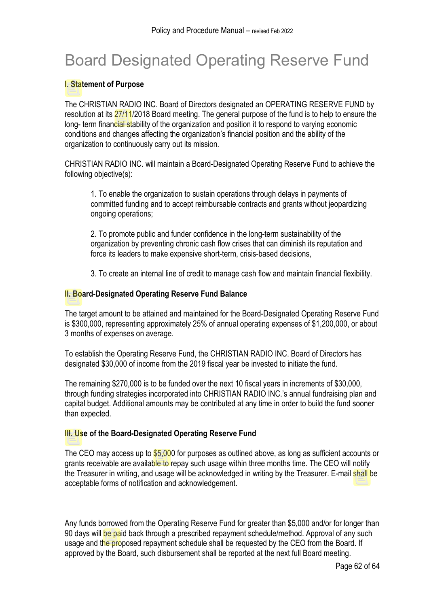# Board Designated Operating Reserve Fund

#### **I. Statement of Purpose**

The CHRISTIAN RADIO INC. Board of Directors designated an OPERATING RESERVE FUND by resolution at its 27/11/2018 Board meeting. The general purpose of the fund is to help to ensure the long- term financial stability of the organization and position it to respond to varying economic conditions and changes affecting the organization's financial position and the ability of the organization to continuously carry out its mission.

CHRISTIAN RADIO INC. will maintain a Board-Designated Operating Reserve Fund to achieve the following objective(s):

1. To enable the organization to sustain operations through delays in payments of committed funding and to accept reimbursable contracts and grants without jeopardizing ongoing operations;

2. To promote public and funder confidence in the long-term sustainability of the organization by preventing chronic cash flow crises that can diminish its reputation and force its leaders to make expensive short-term, crisis-based decisions,

3. To create an internal line of credit to manage cash flow and maintain financial flexibility.

#### **II. Board-Designated Operating Reserve Fund Balance**

The target amount to be attained and maintained for the Board-Designated Operating Reserve Fund is \$300,000, representing approximately 25% of annual operating expenses of \$1,200,000, or about 3 months of expenses on average.

To establish the Operating Reserve Fund, the CHRISTIAN RADIO INC. Board of Directors has designated \$30,000 of income from the 2019 fiscal year be invested to initiate the fund.

The remaining \$270,000 is to be funded over the next 10 fiscal years in increments of \$30,000, through funding strategies incorporated into CHRISTIAN RADIO INC.'s annual fundraising plan and capital budget. Additional amounts may be contributed at any time in order to build the fund sooner than expected.

#### **III. Use of the Board-Designated Operating Reserve Fund**

The CEO may access up to \$5,000 for purposes as outlined above, as long as sufficient accounts or grants receivable are available to repay such usage within three months time. The CEO will notify the Treasurer in writing, and usage will be acknowledged in writing by the Treasurer. E-mail shall be acceptable forms of notification and acknowledgement.

Any funds borrowed from the Operating Reserve Fund for greater than \$5,000 and/or for longer than 90 days will be paid back through a prescribed repayment schedule/method. Approval of any such usage and the proposed repayment schedule shall be requested by the CEO from the Board. If approved by the Board, such disbursement shall be reported at the next full Board meeting.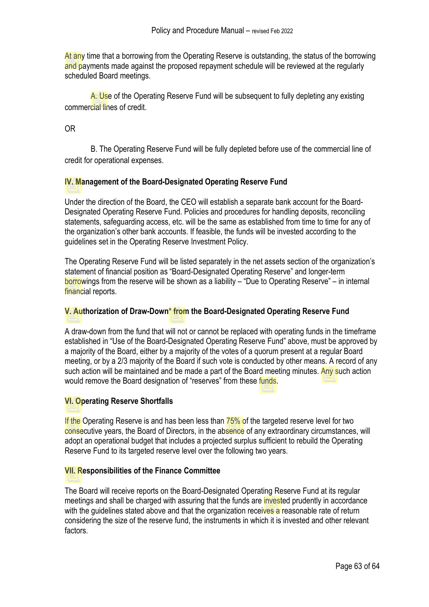At any time that a borrowing from the Operating Reserve is outstanding, the status of the borrowing and payments made against the proposed repayment schedule will be reviewed at the regularly scheduled Board meetings.

A. Use of the Operating Reserve Fund will be subsequent to fully depleting any existing commercial lines of credit.

OR

B. The Operating Reserve Fund will be fully depleted before use of the commercial line of credit for operational expenses.

#### **IV. Management of the Board-Designated Operating Reserve Fund**

Under the direction of the Board, the CEO will establish a separate bank account for the Board-Designated Operating Reserve Fund. Policies and procedures for handling deposits, reconciling statements, safeguarding access, etc. will be the same as established from time to time for any of the organization's other bank accounts. If feasible, the funds will be invested according to the guidelines set in the Operating Reserve Investment Policy.

The Operating Reserve Fund will be listed separately in the net assets section of the organization's statement of financial position as "Board-Designated Operating Reserve" and longer-term borrowings from the reserve will be shown as a liability – "Due to Operating Reserve" – in internal financial reports.

#### **V. Authorization of Draw-Down\* from the Board-Designated Operating Reserve Fund**

A draw-down from the fund that will not or cannot be replaced with operating funds in the timeframe established in "Use of the Board-Designated Operating Reserve Fund" above, must be approved by a majority of the Board, either by a majority of the votes of a quorum present at a regular Board meeting, or by a 2/3 majority of the Board if such vote is conducted by other means. A record of any such action will be maintained and be made a part of the Board meeting minutes. Any such action would remove the Board designation of "reserves" from these funds.

#### **VI. Operating Reserve Shortfalls**

If the Operating Reserve is and has been less than 75% of the targeted reserve level for two consecutive years, the Board of Directors, in the absence of any extraordinary circumstances, will adopt an operational budget that includes a projected surplus sufficient to rebuild the Operating Reserve Fund to its targeted reserve level over the following two years.

#### **VII. Responsibilities of the Finance Committee**

The Board will receive reports on the Board-Designated Operating Reserve Fund at its regular meetings and shall be charged with assuring that the funds are invested prudently in accordance with the guidelines stated above and that the organization receives a reasonable rate of return considering the size of the reserve fund, the instruments in which it is invested and other relevant factors.